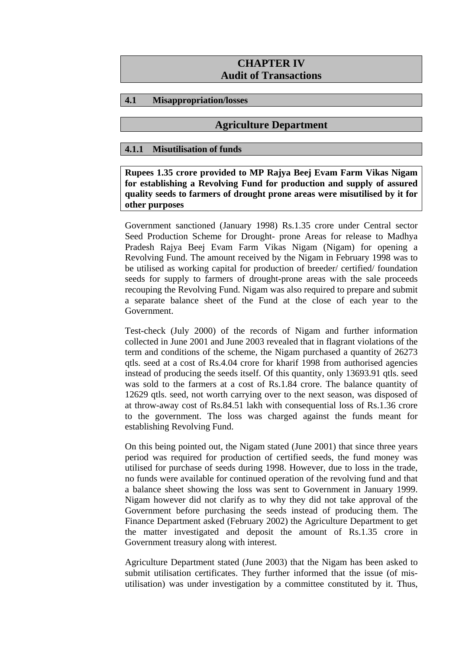# **CHAPTER IV Audit of Transactions**

# **4.1 Misappropriation/losses**

# **Agriculture Department**

### **4.1.1 Misutilisation of funds**

**Rupees 1.35 crore provided to MP Rajya Beej Evam Farm Vikas Nigam for establishing a Revolving Fund for production and supply of assured quality seeds to farmers of drought prone areas were misutilised by it for other purposes** 

Government sanctioned (January 1998) Rs.1.35 crore under Central sector Seed Production Scheme for Drought- prone Areas for release to Madhya Pradesh Rajya Beej Evam Farm Vikas Nigam (Nigam) for opening a Revolving Fund. The amount received by the Nigam in February 1998 was to be utilised as working capital for production of breeder/ certified/ foundation seeds for supply to farmers of drought-prone areas with the sale proceeds recouping the Revolving Fund. Nigam was also required to prepare and submit a separate balance sheet of the Fund at the close of each year to the Government.

Test-check (July 2000) of the records of Nigam and further information collected in June 2001 and June 2003 revealed that in flagrant violations of the term and conditions of the scheme, the Nigam purchased a quantity of 26273 qtls. seed at a cost of Rs.4.04 crore for kharif 1998 from authorised agencies instead of producing the seeds itself. Of this quantity, only 13693.91 qtls. seed was sold to the farmers at a cost of Rs.1.84 crore. The balance quantity of 12629 qtls. seed, not worth carrying over to the next season, was disposed of at throw-away cost of Rs.84.51 lakh with consequential loss of Rs.1.36 crore to the government. The loss was charged against the funds meant for establishing Revolving Fund.

On this being pointed out, the Nigam stated (June 2001) that since three years period was required for production of certified seeds, the fund money was utilised for purchase of seeds during 1998. However, due to loss in the trade, no funds were available for continued operation of the revolving fund and that a balance sheet showing the loss was sent to Government in January 1999. Nigam however did not clarify as to why they did not take approval of the Government before purchasing the seeds instead of producing them. The Finance Department asked (February 2002) the Agriculture Department to get the matter investigated and deposit the amount of Rs.1.35 crore in Government treasury along with interest.

Agriculture Department stated (June 2003) that the Nigam has been asked to submit utilisation certificates. They further informed that the issue (of misutilisation) was under investigation by a committee constituted by it. Thus,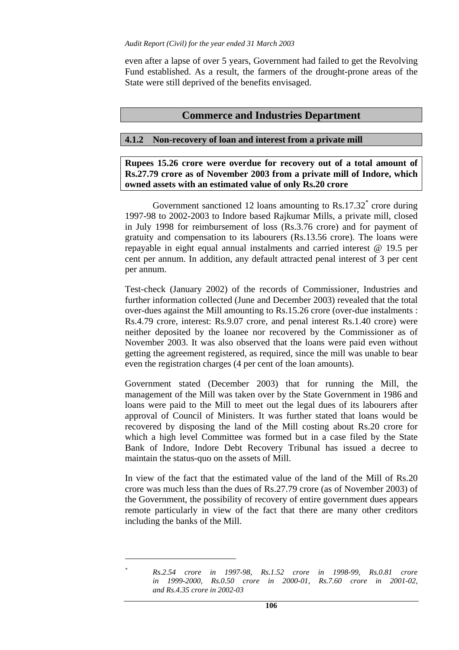even after a lapse of over 5 years, Government had failed to get the Revolving Fund established. As a result, the farmers of the drought-prone areas of the State were still deprived of the benefits envisaged.

# **Commerce and Industries Department**

### **4.1.2 Non-recovery of loan and interest from a private mill**

**Rupees 15.26 crore were overdue for recovery out of a total amount of Rs.27.79 crore as of November 2003 from a private mill of Indore, which owned assets with an estimated value of only Rs.20 crore** 

Government sanctioned 12 loans amounting to Rs.17.32<sup>\*</sup> crore during 1997-98 to 2002-2003 to Indore based Rajkumar Mills, a private mill, closed in July 1998 for reimbursement of loss (Rs.3.76 crore) and for payment of gratuity and compensation to its labourers (Rs.13.56 crore). The loans were repayable in eight equal annual instalments and carried interest @ 19.5 per cent per annum. In addition, any default attracted penal interest of 3 per cent per annum.

Test-check (January 2002) of the records of Commissioner, Industries and further information collected (June and December 2003) revealed that the total over-dues against the Mill amounting to Rs.15.26 crore (over-due instalments : Rs.4.79 crore, interest: Rs.9.07 crore, and penal interest Rs.1.40 crore) were neither deposited by the loanee nor recovered by the Commissioner as of November 2003. It was also observed that the loans were paid even without getting the agreement registered, as required, since the mill was unable to bear even the registration charges (4 per cent of the loan amounts).

Government stated (December 2003) that for running the Mill, the management of the Mill was taken over by the State Government in 1986 and loans were paid to the Mill to meet out the legal dues of its labourers after approval of Council of Ministers. It was further stated that loans would be recovered by disposing the land of the Mill costing about Rs.20 crore for which a high level Committee was formed but in a case filed by the State Bank of Indore, Indore Debt Recovery Tribunal has issued a decree to maintain the status-quo on the assets of Mill.

In view of the fact that the estimated value of the land of the Mill of Rs.20 crore was much less than the dues of Rs.27.79 crore (as of November 2003) of the Government, the possibility of recovery of entire government dues appears remote particularly in view of the fact that there are many other creditors including the banks of the Mill.

*Rs.2.54 crore in 1997-98, Rs.1.52 crore in 1998-99, Rs.0.81 crore in 1999-2000, Rs.0.50 crore in 2000-01, Rs.7.60 crore in 2001-02, and Rs.4.35 crore in 2002-03*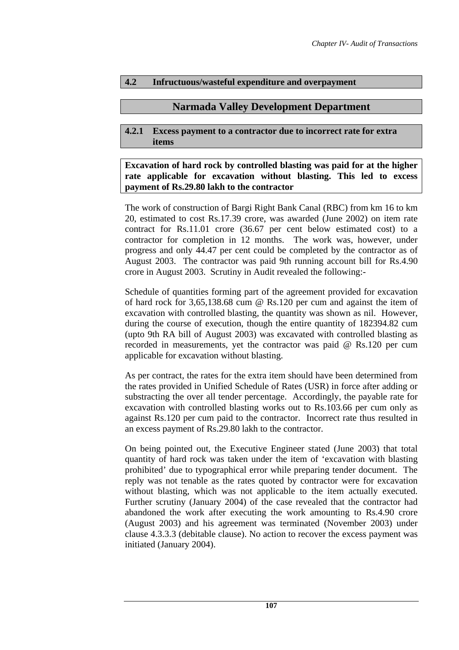# **4.2 Infructuous/wasteful expenditure and overpayment**

# **Narmada Valley Development Department**

#### **4.2.1 Excess payment to a contractor due to incorrect rate for extra items**

**Excavation of hard rock by controlled blasting was paid for at the higher rate applicable for excavation without blasting. This led to excess payment of Rs.29.80 lakh to the contractor** 

The work of construction of Bargi Right Bank Canal (RBC) from km 16 to km 20, estimated to cost Rs.17.39 crore, was awarded (June 2002) on item rate contract for Rs.11.01 crore (36.67 per cent below estimated cost) to a contractor for completion in 12 months. The work was, however, under progress and only 44.47 per cent could be completed by the contractor as of August 2003. The contractor was paid 9th running account bill for Rs.4.90 crore in August 2003. Scrutiny in Audit revealed the following:-

Schedule of quantities forming part of the agreement provided for excavation of hard rock for 3,65,138.68 cum @ Rs.120 per cum and against the item of excavation with controlled blasting, the quantity was shown as nil. However, during the course of execution, though the entire quantity of 182394.82 cum (upto 9th RA bill of August 2003) was excavated with controlled blasting as recorded in measurements, yet the contractor was paid @ Rs.120 per cum applicable for excavation without blasting.

As per contract, the rates for the extra item should have been determined from the rates provided in Unified Schedule of Rates (USR) in force after adding or substracting the over all tender percentage. Accordingly, the payable rate for excavation with controlled blasting works out to Rs.103.66 per cum only as against Rs.120 per cum paid to the contractor. Incorrect rate thus resulted in an excess payment of Rs.29.80 lakh to the contractor.

On being pointed out, the Executive Engineer stated (June 2003) that total quantity of hard rock was taken under the item of 'excavation with blasting prohibited' due to typographical error while preparing tender document. The reply was not tenable as the rates quoted by contractor were for excavation without blasting, which was not applicable to the item actually executed. Further scrutiny (January 2004) of the case revealed that the contractor had abandoned the work after executing the work amounting to Rs.4.90 crore (August 2003) and his agreement was terminated (November 2003) under clause 4.3.3.3 (debitable clause). No action to recover the excess payment was initiated (January 2004).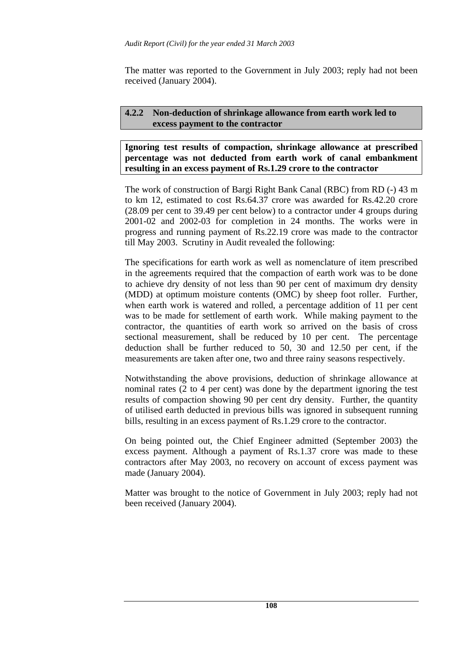The matter was reported to the Government in July 2003; reply had not been received (January 2004).

# **4.2.2 Non-deduction of shrinkage allowance from earth work led to excess payment to the contractor**

**Ignoring test results of compaction, shrinkage allowance at prescribed percentage was not deducted from earth work of canal embankment resulting in an excess payment of Rs.1.29 crore to the contractor** 

The work of construction of Bargi Right Bank Canal (RBC) from RD (-) 43 m to km 12, estimated to cost Rs.64.37 crore was awarded for Rs.42.20 crore (28.09 per cent to 39.49 per cent below) to a contractor under 4 groups during 2001-02 and 2002-03 for completion in 24 months. The works were in progress and running payment of Rs.22.19 crore was made to the contractor till May 2003. Scrutiny in Audit revealed the following:

The specifications for earth work as well as nomenclature of item prescribed in the agreements required that the compaction of earth work was to be done to achieve dry density of not less than 90 per cent of maximum dry density (MDD) at optimum moisture contents (OMC) by sheep foot roller. Further, when earth work is watered and rolled, a percentage addition of 11 per cent was to be made for settlement of earth work. While making payment to the contractor, the quantities of earth work so arrived on the basis of cross sectional measurement, shall be reduced by 10 per cent. The percentage deduction shall be further reduced to 50, 30 and 12.50 per cent, if the measurements are taken after one, two and three rainy seasons respectively.

Notwithstanding the above provisions, deduction of shrinkage allowance at nominal rates (2 to 4 per cent) was done by the department ignoring the test results of compaction showing 90 per cent dry density. Further, the quantity of utilised earth deducted in previous bills was ignored in subsequent running bills, resulting in an excess payment of Rs.1.29 crore to the contractor.

On being pointed out, the Chief Engineer admitted (September 2003) the excess payment. Although a payment of Rs.1.37 crore was made to these contractors after May 2003, no recovery on account of excess payment was made (January 2004).

Matter was brought to the notice of Government in July 2003; reply had not been received (January 2004).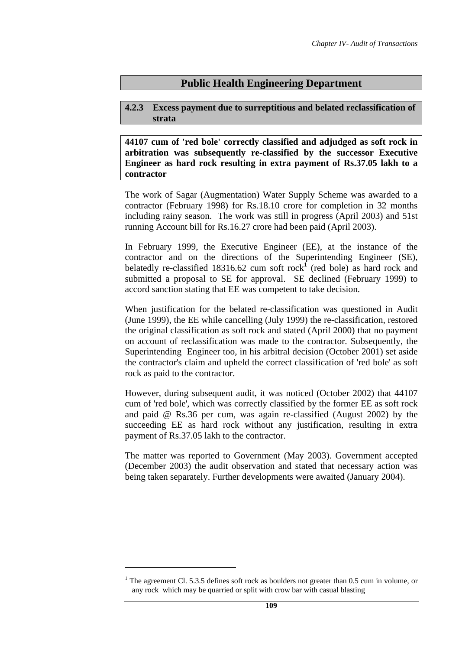# **Public Health Engineering Department**

### **4.2.3 Excess payment due to surreptitious and belated reclassification of strata**

**44107 cum of 'red bole' correctly classified and adjudged as soft rock in arbitration was subsequently re-classified by the successor Executive Engineer as hard rock resulting in extra payment of Rs.37.05 lakh to a contractor** 

The work of Sagar (Augmentation) Water Supply Scheme was awarded to a contractor (February 1998) for Rs.18.10 crore for completion in 32 months including rainy season. The work was still in progress (April 2003) and 51st running Account bill for Rs.16.27 crore had been paid (April 2003).

In February 1999, the Executive Engineer (EE), at the instance of the contractor and on the directions of the Superintending Engineer (SE), belatedly re-classified 18316.62 cum soft rock<sup>1</sup> (red bole) as hard rock and submitted a proposal to SE for approval. SE declined (February 1999) to accord sanction stating that EE was competent to take decision.

When justification for the belated re-classification was questioned in Audit (June 1999), the EE while cancelling (July 1999) the re-classification, restored the original classification as soft rock and stated (April 2000) that no payment on account of reclassification was made to the contractor. Subsequently, the Superintending Engineer too, in his arbitral decision (October 2001) set aside the contractor's claim and upheld the correct classification of 'red bole' as soft rock as paid to the contractor.

However, during subsequent audit, it was noticed (October 2002) that 44107 cum of 'red bole', which was correctly classified by the former EE as soft rock and paid @ Rs.36 per cum, was again re-classified (August 2002) by the succeeding EE as hard rock without any justification, resulting in extra payment of Rs.37.05 lakh to the contractor.

The matter was reported to Government (May 2003). Government accepted (December 2003) the audit observation and stated that necessary action was being taken separately. Further developments were awaited (January 2004).

<sup>&</sup>lt;sup>1</sup> The agreement Cl. 5.3.5 defines soft rock as boulders not greater than  $0.5$  cum in volume, or any rock which may be quarried or split with crow bar with casual blasting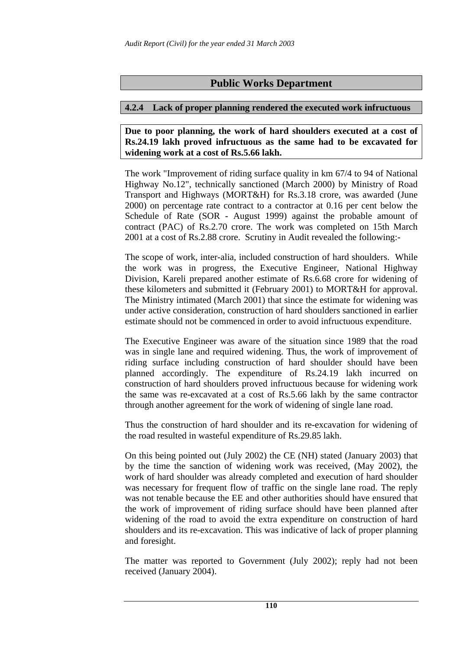# **Public Works Department**

#### **4.2.4 Lack of proper planning rendered the executed work infructuous**

**Due to poor planning, the work of hard shoulders executed at a cost of Rs.24.19 lakh proved infructuous as the same had to be excavated for widening work at a cost of Rs.5.66 lakh.** 

The work "Improvement of riding surface quality in km 67/4 to 94 of National Highway No.12", technically sanctioned (March 2000) by Ministry of Road Transport and Highways (MORT&H) for Rs.3.18 crore, was awarded (June 2000) on percentage rate contract to a contractor at 0.16 per cent below the Schedule of Rate (SOR - August 1999) against the probable amount of contract (PAC) of Rs.2.70 crore. The work was completed on 15th March 2001 at a cost of Rs.2.88 crore. Scrutiny in Audit revealed the following:-

The scope of work, inter-alia, included construction of hard shoulders. While the work was in progress, the Executive Engineer, National Highway Division, Kareli prepared another estimate of Rs.6.68 crore for widening of these kilometers and submitted it (February 2001) to MORT&H for approval. The Ministry intimated (March 2001) that since the estimate for widening was under active consideration, construction of hard shoulders sanctioned in earlier estimate should not be commenced in order to avoid infructuous expenditure.

The Executive Engineer was aware of the situation since 1989 that the road was in single lane and required widening. Thus, the work of improvement of riding surface including construction of hard shoulder should have been planned accordingly. The expenditure of Rs.24.19 lakh incurred on construction of hard shoulders proved infructuous because for widening work the same was re-excavated at a cost of Rs.5.66 lakh by the same contractor through another agreement for the work of widening of single lane road.

Thus the construction of hard shoulder and its re-excavation for widening of the road resulted in wasteful expenditure of Rs.29.85 lakh.

On this being pointed out (July 2002) the CE (NH) stated (January 2003) that by the time the sanction of widening work was received, (May 2002), the work of hard shoulder was already completed and execution of hard shoulder was necessary for frequent flow of traffic on the single lane road. The reply was not tenable because the EE and other authorities should have ensured that the work of improvement of riding surface should have been planned after widening of the road to avoid the extra expenditure on construction of hard shoulders and its re-excavation. This was indicative of lack of proper planning and foresight.

The matter was reported to Government (July 2002); reply had not been received (January 2004).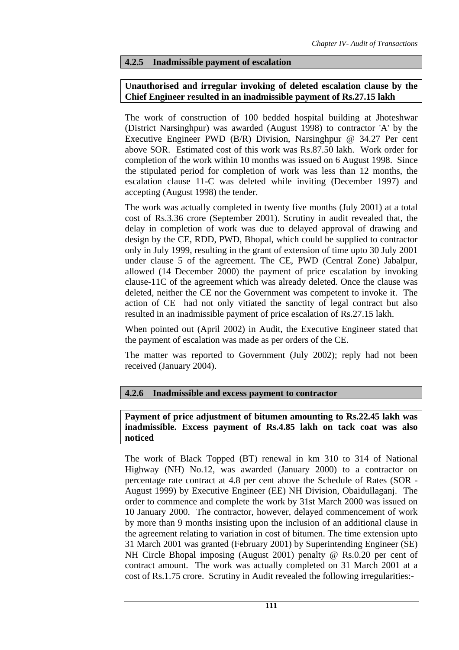#### **4.2.5 Inadmissible payment of escalation**

## **Unauthorised and irregular invoking of deleted escalation clause by the Chief Engineer resulted in an inadmissible payment of Rs.27.15 lakh**

The work of construction of 100 bedded hospital building at Jhoteshwar (District Narsinghpur) was awarded (August 1998) to contractor 'A' by the Executive Engineer PWD (B/R) Division, Narsinghpur @ 34.27 Per cent above SOR. Estimated cost of this work was Rs.87.50 lakh. Work order for completion of the work within 10 months was issued on 6 August 1998. Since the stipulated period for completion of work was less than 12 months, the escalation clause 11-C was deleted while inviting (December 1997) and accepting (August 1998) the tender.

The work was actually completed in twenty five months (July 2001) at a total cost of Rs.3.36 crore (September 2001). Scrutiny in audit revealed that, the delay in completion of work was due to delayed approval of drawing and design by the CE, RDD, PWD, Bhopal, which could be supplied to contractor only in July 1999, resulting in the grant of extension of time upto 30 July 2001 under clause 5 of the agreement. The CE, PWD (Central Zone) Jabalpur, allowed (14 December 2000) the payment of price escalation by invoking clause-11C of the agreement which was already deleted. Once the clause was deleted, neither the CE nor the Government was competent to invoke it. The action of CE had not only vitiated the sanctity of legal contract but also resulted in an inadmissible payment of price escalation of Rs.27.15 lakh.

When pointed out (April 2002) in Audit, the Executive Engineer stated that the payment of escalation was made as per orders of the CE.

The matter was reported to Government (July 2002); reply had not been received (January 2004).

### **4.2.6 Inadmissible and excess payment to contractor**

#### **Payment of price adjustment of bitumen amounting to Rs.22.45 lakh was inadmissible. Excess payment of Rs.4.85 lakh on tack coat was also noticed**

The work of Black Topped (BT) renewal in km 310 to 314 of National Highway (NH) No.12, was awarded (January 2000) to a contractor on percentage rate contract at 4.8 per cent above the Schedule of Rates (SOR - August 1999) by Executive Engineer (EE) NH Division, Obaidullaganj. The order to commence and complete the work by 31st March 2000 was issued on 10 January 2000. The contractor, however, delayed commencement of work by more than 9 months insisting upon the inclusion of an additional clause in the agreement relating to variation in cost of bitumen. The time extension upto 31 March 2001 was granted (February 2001) by Superintending Engineer (SE) NH Circle Bhopal imposing (August 2001) penalty @ Rs.0.20 per cent of contract amount. The work was actually completed on 31 March 2001 at a cost of Rs.1.75 crore. Scrutiny in Audit revealed the following irregularities:-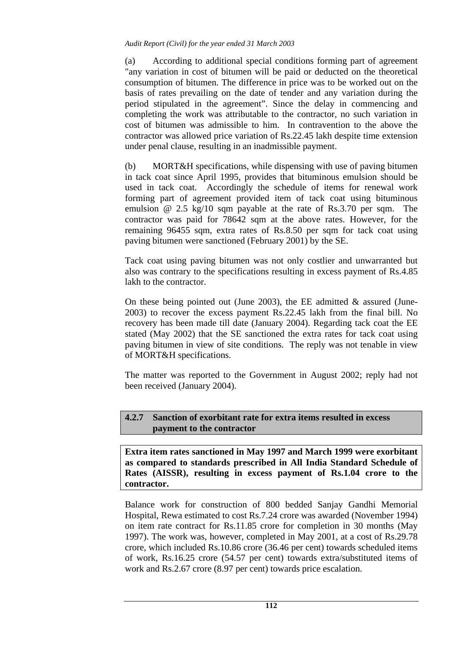#### *Audit Report (Civil) for the year ended 31 March 2003*

(a) According to additional special conditions forming part of agreement "any variation in cost of bitumen will be paid or deducted on the theoretical consumption of bitumen. The difference in price was to be worked out on the basis of rates prevailing on the date of tender and any variation during the period stipulated in the agreement". Since the delay in commencing and completing the work was attributable to the contractor, no such variation in cost of bitumen was admissible to him. In contravention to the above the contractor was allowed price variation of Rs.22.45 lakh despite time extension under penal clause, resulting in an inadmissible payment.

(b) MORT&H specifications, while dispensing with use of paving bitumen in tack coat since April 1995, provides that bituminous emulsion should be used in tack coat. Accordingly the schedule of items for renewal work forming part of agreement provided item of tack coat using bituminous emulsion @ 2.5 kg/10 sqm payable at the rate of Rs.3.70 per sqm. The contractor was paid for 78642 sqm at the above rates. However, for the remaining 96455 sqm, extra rates of Rs.8.50 per sqm for tack coat using paving bitumen were sanctioned (February 2001) by the SE.

Tack coat using paving bitumen was not only costlier and unwarranted but also was contrary to the specifications resulting in excess payment of Rs.4.85 lakh to the contractor.

On these being pointed out (June 2003), the EE admitted  $&$  assured (June-2003) to recover the excess payment Rs.22.45 lakh from the final bill. No recovery has been made till date (January 2004). Regarding tack coat the EE stated (May 2002) that the SE sanctioned the extra rates for tack coat using paving bitumen in view of site conditions. The reply was not tenable in view of MORT&H specifications.

The matter was reported to the Government in August 2002; reply had not been received (January 2004).

## **4.2.7 Sanction of exorbitant rate for extra items resulted in excess payment to the contractor**

**Extra item rates sanctioned in May 1997 and March 1999 were exorbitant as compared to standards prescribed in All India Standard Schedule of Rates (AISSR), resulting in excess payment of Rs.1.04 crore to the contractor.** 

Balance work for construction of 800 bedded Sanjay Gandhi Memorial Hospital, Rewa estimated to cost Rs.7.24 crore was awarded (November 1994) on item rate contract for Rs.11.85 crore for completion in 30 months (May 1997). The work was, however, completed in May 2001, at a cost of Rs.29.78 crore, which included Rs.10.86 crore (36.46 per cent) towards scheduled items of work, Rs.16.25 crore (54.57 per cent) towards extra/substituted items of work and Rs.2.67 crore (8.97 per cent) towards price escalation.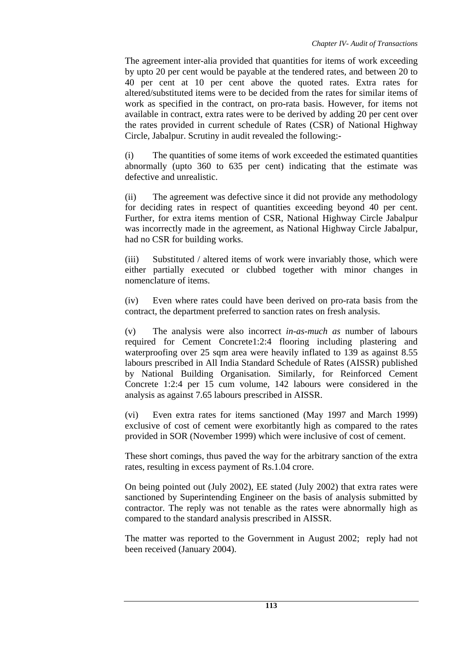The agreement inter-alia provided that quantities for items of work exceeding by upto 20 per cent would be payable at the tendered rates, and between 20 to 40 per cent at 10 per cent above the quoted rates. Extra rates for altered/substituted items were to be decided from the rates for similar items of work as specified in the contract, on pro-rata basis. However, for items not available in contract, extra rates were to be derived by adding 20 per cent over the rates provided in current schedule of Rates (CSR) of National Highway Circle, Jabalpur. Scrutiny in audit revealed the following:-

(i) The quantities of some items of work exceeded the estimated quantities abnormally (upto 360 to 635 per cent) indicating that the estimate was defective and unrealistic.

(ii) The agreement was defective since it did not provide any methodology for deciding rates in respect of quantities exceeding beyond 40 per cent. Further, for extra items mention of CSR, National Highway Circle Jabalpur was incorrectly made in the agreement, as National Highway Circle Jabalpur, had no CSR for building works.

(iii) Substituted / altered items of work were invariably those, which were either partially executed or clubbed together with minor changes in nomenclature of items.

(iv) Even where rates could have been derived on pro-rata basis from the contract, the department preferred to sanction rates on fresh analysis.

(v) The analysis were also incorrect *in-as-much as* number of labours required for Cement Concrete1:2:4 flooring including plastering and waterproofing over 25 sqm area were heavily inflated to 139 as against 8.55 labours prescribed in All India Standard Schedule of Rates (AISSR) published by National Building Organisation. Similarly, for Reinforced Cement Concrete 1:2:4 per 15 cum volume, 142 labours were considered in the analysis as against 7.65 labours prescribed in AISSR.

(vi) Even extra rates for items sanctioned (May 1997 and March 1999) exclusive of cost of cement were exorbitantly high as compared to the rates provided in SOR (November 1999) which were inclusive of cost of cement.

These short comings, thus paved the way for the arbitrary sanction of the extra rates, resulting in excess payment of Rs.1.04 crore.

On being pointed out (July 2002), EE stated (July 2002) that extra rates were sanctioned by Superintending Engineer on the basis of analysis submitted by contractor. The reply was not tenable as the rates were abnormally high as compared to the standard analysis prescribed in AISSR.

The matter was reported to the Government in August 2002; reply had not been received (January 2004).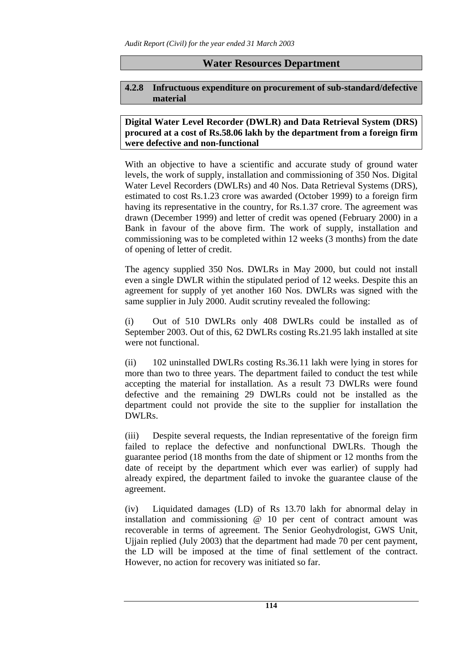# **Water Resources Department**

#### **4.2.8 Infructuous expenditure on procurement of sub-standard/defective material**

### **Digital Water Level Recorder (DWLR) and Data Retrieval System (DRS) procured at a cost of Rs.58.06 lakh by the department from a foreign firm were defective and non-functional**

With an objective to have a scientific and accurate study of ground water levels, the work of supply, installation and commissioning of 350 Nos. Digital Water Level Recorders (DWLRs) and 40 Nos. Data Retrieval Systems (DRS), estimated to cost Rs.1.23 crore was awarded (October 1999) to a foreign firm having its representative in the country, for Rs.1.37 crore. The agreement was drawn (December 1999) and letter of credit was opened (February 2000) in a Bank in favour of the above firm. The work of supply, installation and commissioning was to be completed within 12 weeks (3 months) from the date of opening of letter of credit.

The agency supplied 350 Nos. DWLRs in May 2000, but could not install even a single DWLR within the stipulated period of 12 weeks. Despite this an agreement for supply of yet another 160 Nos. DWLRs was signed with the same supplier in July 2000. Audit scrutiny revealed the following:

(i) Out of 510 DWLRs only 408 DWLRs could be installed as of September 2003. Out of this, 62 DWLRs costing Rs.21.95 lakh installed at site were not functional.

(ii) 102 uninstalled DWLRs costing Rs.36.11 lakh were lying in stores for more than two to three years. The department failed to conduct the test while accepting the material for installation. As a result 73 DWLRs were found defective and the remaining 29 DWLRs could not be installed as the department could not provide the site to the supplier for installation the DWLRs.

(iii) Despite several requests, the Indian representative of the foreign firm failed to replace the defective and nonfunctional DWLRs. Though the guarantee period (18 months from the date of shipment or 12 months from the date of receipt by the department which ever was earlier) of supply had already expired, the department failed to invoke the guarantee clause of the agreement.

(iv) Liquidated damages (LD) of Rs 13.70 lakh for abnormal delay in installation and commissioning @ 10 per cent of contract amount was recoverable in terms of agreement. The Senior Geohydrologist, GWS Unit, Ujjain replied (July 2003) that the department had made 70 per cent payment, the LD will be imposed at the time of final settlement of the contract. However, no action for recovery was initiated so far.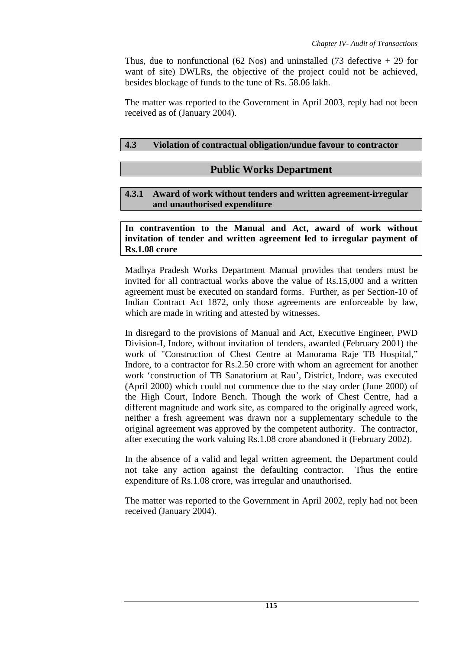Thus, due to nonfunctional (62 Nos) and uninstalled (73 defective  $+ 29$  for want of site) DWLRs, the objective of the project could not be achieved, besides blockage of funds to the tune of Rs. 58.06 lakh.

The matter was reported to the Government in April 2003, reply had not been received as of (January 2004).

# **4.3 Violation of contractual obligation/undue favour to contractor**

# **Public Works Department**

# **4.3.1 Award of work without tenders and written agreement-irregular and unauthorised expenditure**

**In contravention to the Manual and Act, award of work without invitation of tender and written agreement led to irregular payment of Rs.1.08 crore** 

Madhya Pradesh Works Department Manual provides that tenders must be invited for all contractual works above the value of Rs.15,000 and a written agreement must be executed on standard forms. Further, as per Section-10 of Indian Contract Act 1872, only those agreements are enforceable by law, which are made in writing and attested by witnesses.

In disregard to the provisions of Manual and Act, Executive Engineer, PWD Division-I, Indore, without invitation of tenders, awarded (February 2001) the work of "Construction of Chest Centre at Manorama Raje TB Hospital," Indore, to a contractor for Rs.2.50 crore with whom an agreement for another work 'construction of TB Sanatorium at Rau', District, Indore, was executed (April 2000) which could not commence due to the stay order (June 2000) of the High Court, Indore Bench. Though the work of Chest Centre, had a different magnitude and work site, as compared to the originally agreed work, neither a fresh agreement was drawn nor a supplementary schedule to the original agreement was approved by the competent authority. The contractor, after executing the work valuing Rs.1.08 crore abandoned it (February 2002).

In the absence of a valid and legal written agreement, the Department could not take any action against the defaulting contractor. Thus the entire expenditure of Rs.1.08 crore, was irregular and unauthorised.

The matter was reported to the Government in April 2002, reply had not been received (January 2004).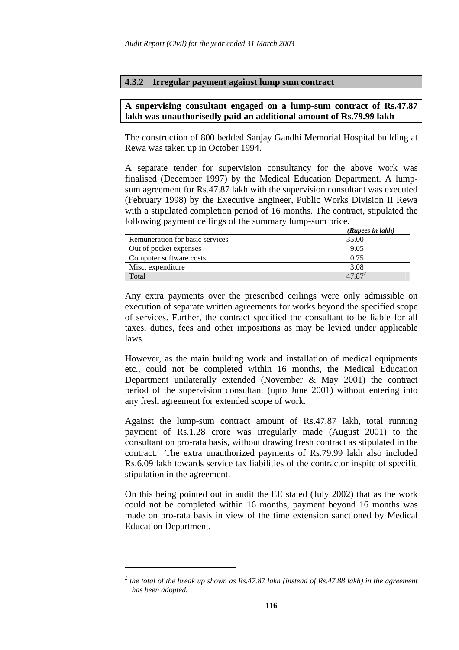#### **4.3.2 Irregular payment against lump sum contract**

#### **A supervising consultant engaged on a lump-sum contract of Rs.47.87 lakh was unauthorisedly paid an additional amount of Rs.79.99 lakh**

The construction of 800 bedded Sanjay Gandhi Memorial Hospital building at Rewa was taken up in October 1994.

A separate tender for supervision consultancy for the above work was finalised (December 1997) by the Medical Education Department. A lumpsum agreement for Rs.47.87 lakh with the supervision consultant was executed (February 1998) by the Executive Engineer, Public Works Division II Rewa with a stipulated completion period of 16 months. The contract, stipulated the following payment ceilings of the summary lump-sum price.

|                                 | (Rupees in lakh) |
|---------------------------------|------------------|
| Remuneration for basic services | 35.00            |
| Out of pocket expenses          | 9.05             |
| Computer software costs         | 0.75             |
| Misc. expenditure               | 3.08             |
| Total                           |                  |

Any extra payments over the prescribed ceilings were only admissible on execution of separate written agreements for works beyond the specified scope of services. Further, the contract specified the consultant to be liable for all taxes, duties, fees and other impositions as may be levied under applicable laws.

However, as the main building work and installation of medical equipments etc., could not be completed within 16 months, the Medical Education Department unilaterally extended (November & May 2001) the contract period of the supervision consultant (upto June 2001) without entering into any fresh agreement for extended scope of work.

Against the lump-sum contract amount of Rs.47.87 lakh, total running payment of Rs.1.28 crore was irregularly made (August 2001) to the consultant on pro-rata basis, without drawing fresh contract as stipulated in the contract. The extra unauthorized payments of Rs.79.99 lakh also included Rs.6.09 lakh towards service tax liabilities of the contractor inspite of specific stipulation in the agreement.

On this being pointed out in audit the EE stated (July 2002) that as the work could not be completed within 16 months, payment beyond 16 months was made on pro-rata basis in view of the time extension sanctioned by Medical Education Department.

<sup>&</sup>lt;sup>2</sup> the total of the break up shown as Rs.47.87 lakh (instead of Rs.47.88 lakh) in the agreement *has been adopted.*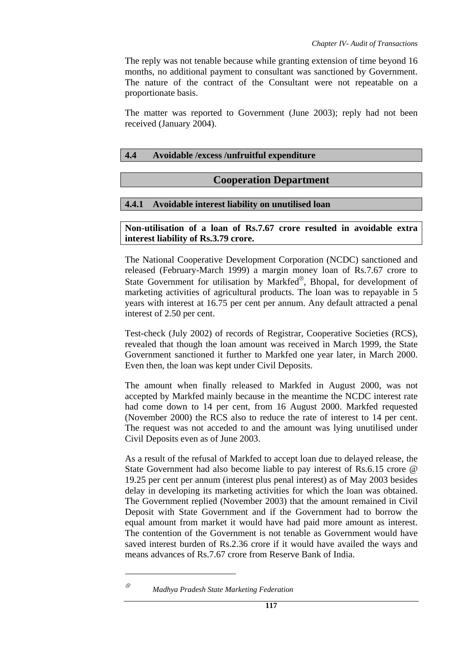The reply was not tenable because while granting extension of time beyond 16 months, no additional payment to consultant was sanctioned by Government. The nature of the contract of the Consultant were not repeatable on a proportionate basis.

The matter was reported to Government (June 2003); reply had not been received (January 2004).

### **4.4 Avoidable /excess /unfruitful expenditure**

# **Cooperation Department**

## **4.4.1 Avoidable interest liability on unutilised loan**

**Non-utilisation of a loan of Rs.7.67 crore resulted in avoidable extra interest liability of Rs.3.79 crore.** 

The National Cooperative Development Corporation (NCDC) sanctioned and released (February-March 1999) a margin money loan of Rs.7.67 crore to State Government for utilisation by Markfed<sup>⊗</sup>, Bhopal, for development of marketing activities of agricultural products. The loan was to repayable in 5 years with interest at 16.75 per cent per annum. Any default attracted a penal interest of 2.50 per cent.

Test-check (July 2002) of records of Registrar, Cooperative Societies (RCS), revealed that though the loan amount was received in March 1999, the State Government sanctioned it further to Markfed one year later, in March 2000. Even then, the loan was kept under Civil Deposits.

The amount when finally released to Markfed in August 2000, was not accepted by Markfed mainly because in the meantime the NCDC interest rate had come down to 14 per cent, from 16 August 2000. Markfed requested (November 2000) the RCS also to reduce the rate of interest to 14 per cent. The request was not acceded to and the amount was lying unutilised under Civil Deposits even as of June 2003.

As a result of the refusal of Markfed to accept loan due to delayed release, the State Government had also become liable to pay interest of Rs.6.15 crore @ 19.25 per cent per annum (interest plus penal interest) as of May 2003 besides delay in developing its marketing activities for which the loan was obtained. The Government replied (November 2003) that the amount remained in Civil Deposit with State Government and if the Government had to borrow the equal amount from market it would have had paid more amount as interest. The contention of the Government is not tenable as Government would have saved interest burden of Rs.2.36 crore if it would have availed the ways and means advances of Rs.7.67 crore from Reserve Bank of India.

<sup>⊗</sup> *Madhya Pradesh State Marketing Federation*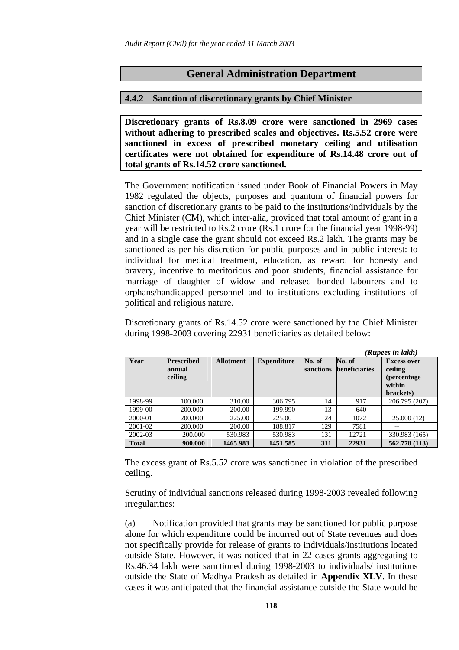# **General Administration Department**

### **4.4.2 Sanction of discretionary grants by Chief Minister**

**Discretionary grants of Rs.8.09 crore were sanctioned in 2969 cases without adhering to prescribed scales and objectives. Rs.5.52 crore were sanctioned in excess of prescribed monetary ceiling and utilisation certificates were not obtained for expenditure of Rs.14.48 crore out of total grants of Rs.14.52 crore sanctioned.** 

The Government notification issued under Book of Financial Powers in May 1982 regulated the objects, purposes and quantum of financial powers for sanction of discretionary grants to be paid to the institutions/individuals by the Chief Minister (CM), which inter-alia, provided that total amount of grant in a year will be restricted to Rs.2 crore (Rs.1 crore for the financial year 1998-99) and in a single case the grant should not exceed Rs.2 lakh. The grants may be sanctioned as per his discretion for public purposes and in public interest: to individual for medical treatment, education, as reward for honesty and bravery, incentive to meritorious and poor students, financial assistance for marriage of daughter of widow and released bonded labourers and to orphans/handicapped personnel and to institutions excluding institutions of political and religious nature.

Discretionary grants of Rs.14.52 crore were sanctioned by the Chief Minister during 1998-2003 covering 22931 beneficiaries as detailed below:

|              | (Kupees in lakn)                       |                  |                    |                     |                                |                                                                             |
|--------------|----------------------------------------|------------------|--------------------|---------------------|--------------------------------|-----------------------------------------------------------------------------|
| Year         | <b>Prescribed</b><br>annual<br>ceiling | <b>Allotment</b> | <b>Expenditure</b> | No. of<br>sanctions | No. of<br><b>beneficiaries</b> | <b>Excess over</b><br>ceiling<br><i>(percentage)</i><br>within<br>brackets) |
| 1998-99      | 100.000                                | 310.00           | 306.795            | 14                  | 917                            | 206.795 (207)                                                               |
| 1999-00      | 200,000                                | 200.00           | 199.990            | 13                  | 640                            |                                                                             |
| 2000-01      | 200,000                                | 225.00           | 225.00             | 24                  | 1072                           | 25.000(12)                                                                  |
| 2001-02      | 200,000                                | 200.00           | 188.817            | 129                 | 7581                           |                                                                             |
| 2002-03      | 200,000                                | 530.983          | 530.983            | 131                 | 12721                          | 330.983 (165)                                                               |
| <b>Total</b> | 900.000                                | 1465.983         | 1451.585           | 311                 | 22931                          | 562.778 (113)                                                               |

 $(n \cdot 11)$ 

The excess grant of Rs.5.52 crore was sanctioned in violation of the prescribed ceiling.

Scrutiny of individual sanctions released during 1998-2003 revealed following irregularities:

(a) Notification provided that grants may be sanctioned for public purpose alone for which expenditure could be incurred out of State revenues and does not specifically provide for release of grants to individuals/institutions located outside State. However, it was noticed that in 22 cases grants aggregating to Rs.46.34 lakh were sanctioned during 1998-2003 to individuals/ institutions outside the State of Madhya Pradesh as detailed in **Appendix XLV**. In these cases it was anticipated that the financial assistance outside the State would be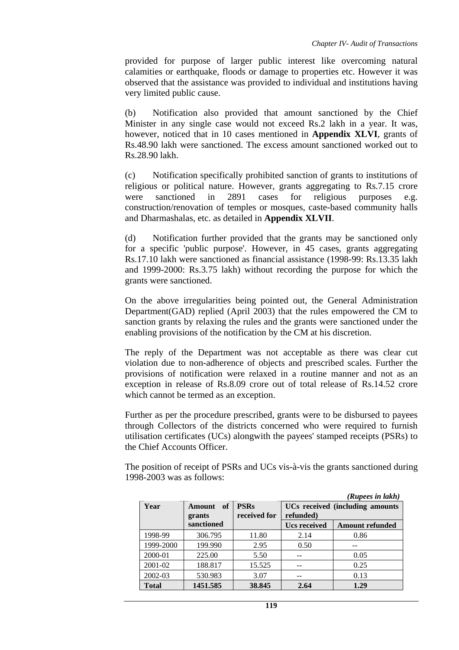provided for purpose of larger public interest like overcoming natural calamities or earthquake, floods or damage to properties etc. However it was observed that the assistance was provided to individual and institutions having very limited public cause.

(b) Notification also provided that amount sanctioned by the Chief Minister in any single case would not exceed Rs.2 lakh in a year. It was, however, noticed that in 10 cases mentioned in **Appendix XLVI**, grants of Rs.48.90 lakh were sanctioned. The excess amount sanctioned worked out to Rs.28.90 lakh.

(c) Notification specifically prohibited sanction of grants to institutions of religious or political nature. However, grants aggregating to Rs.7.15 crore were sanctioned in 2891 cases for religious purposes e.g. construction/renovation of temples or mosques, caste-based community halls and Dharmashalas, etc. as detailed in **Appendix XLVII**.

(d) Notification further provided that the grants may be sanctioned only for a specific 'public purpose'. However, in 45 cases, grants aggregating Rs.17.10 lakh were sanctioned as financial assistance (1998-99: Rs.13.35 lakh and 1999-2000: Rs.3.75 lakh) without recording the purpose for which the grants were sanctioned.

On the above irregularities being pointed out, the General Administration Department(GAD) replied (April 2003) that the rules empowered the CM to sanction grants by relaxing the rules and the grants were sanctioned under the enabling provisions of the notification by the CM at his discretion.

The reply of the Department was not acceptable as there was clear cut violation due to non-adherence of objects and prescribed scales. Further the provisions of notification were relaxed in a routine manner and not as an exception in release of Rs.8.09 crore out of total release of Rs.14.52 crore which cannot be termed as an exception.

Further as per the procedure prescribed, grants were to be disbursed to payees through Collectors of the districts concerned who were required to furnish utilisation certificates (UCs) alongwith the payees' stamped receipts (PSRs) to the Chief Accounts Officer.

The position of receipt of PSRs and UCs vis-à-vis the grants sanctioned during 1998-2003 was as follows:

|              |                               |                             |                                              | (Rupees in lakh)       |  |
|--------------|-------------------------------|-----------------------------|----------------------------------------------|------------------------|--|
| Year         | of<br><b>Amount</b><br>grants | <b>PSRs</b><br>received for | UCs received (including amounts<br>refunded) |                        |  |
|              | sanctioned                    |                             | <b>Ucs received</b>                          | <b>Amount refunded</b> |  |
| 1998-99      | 306.795                       | 11.80                       | 2.14                                         | 0.86                   |  |
| 1999-2000    | 199.990                       | 2.95                        | 0.50                                         |                        |  |
| 2000-01      | 225.00                        | 5.50                        |                                              | 0.05                   |  |
| 2001-02      | 188.817                       | 15.525                      |                                              | 0.25                   |  |
| 2002-03      | 530.983                       | 3.07                        |                                              | 0.13                   |  |
| <b>Total</b> | 1451.585                      | 38.845                      | 2.64                                         | 1.29                   |  |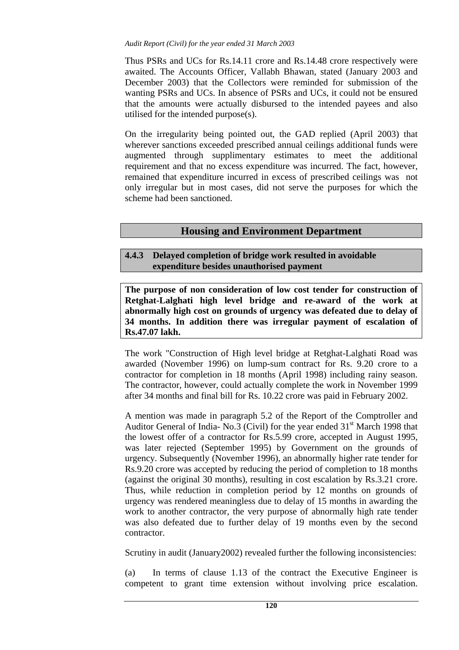#### *Audit Report (Civil) for the year ended 31 March 2003*

Thus PSRs and UCs for Rs.14.11 crore and Rs.14.48 crore respectively were awaited. The Accounts Officer, Vallabh Bhawan, stated (January 2003 and December 2003) that the Collectors were reminded for submission of the wanting PSRs and UCs. In absence of PSRs and UCs, it could not be ensured that the amounts were actually disbursed to the intended payees and also utilised for the intended purpose(s).

On the irregularity being pointed out, the GAD replied (April 2003) that wherever sanctions exceeded prescribed annual ceilings additional funds were augmented through supplimentary estimates to meet the additional requirement and that no excess expenditure was incurred. The fact, however, remained that expenditure incurred in excess of prescribed ceilings was not only irregular but in most cases, did not serve the purposes for which the scheme had been sanctioned.

# **Housing and Environment Department**

# **4.4.3 Delayed completion of bridge work resulted in avoidable expenditure besides unauthorised payment**

**The purpose of non consideration of low cost tender for construction of Retghat-Lalghati high level bridge and re-award of the work at abnormally high cost on grounds of urgency was defeated due to delay of 34 months. In addition there was irregular payment of escalation of Rs.47.07 lakh.** 

The work "Construction of High level bridge at Retghat-Lalghati Road was awarded (November 1996) on lump-sum contract for Rs. 9.20 crore to a contractor for completion in 18 months (April 1998) including rainy season. The contractor, however, could actually complete the work in November 1999 after 34 months and final bill for Rs. 10.22 crore was paid in February 2002.

A mention was made in paragraph 5.2 of the Report of the Comptroller and Auditor General of India- No.3 (Civil) for the year ended  $31<sup>st</sup>$  March 1998 that the lowest offer of a contractor for Rs.5.99 crore, accepted in August 1995, was later rejected (September 1995) by Government on the grounds of urgency. Subsequently (November 1996), an abnormally higher rate tender for Rs.9.20 crore was accepted by reducing the period of completion to 18 months (against the original 30 months), resulting in cost escalation by Rs.3.21 crore. Thus, while reduction in completion period by 12 months on grounds of urgency was rendered meaningless due to delay of 15 months in awarding the work to another contractor, the very purpose of abnormally high rate tender was also defeated due to further delay of 19 months even by the second contractor.

Scrutiny in audit (January2002) revealed further the following inconsistencies:

(a) In terms of clause 1.13 of the contract the Executive Engineer is competent to grant time extension without involving price escalation.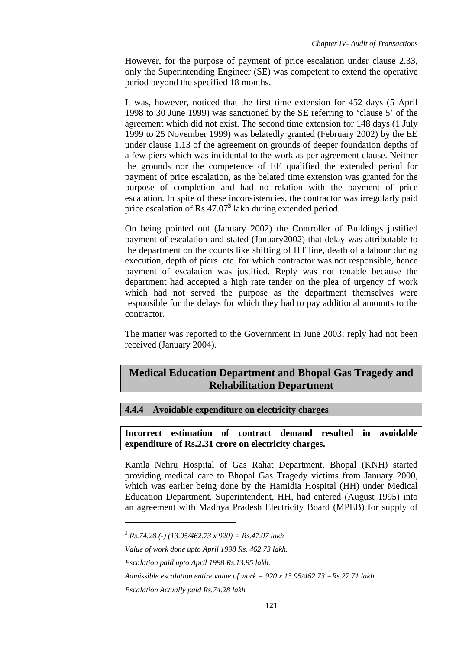However, for the purpose of payment of price escalation under clause 2.33, only the Superintending Engineer (SE) was competent to extend the operative period beyond the specified 18 months.

It was, however, noticed that the first time extension for 452 days (5 April 1998 to 30 June 1999) was sanctioned by the SE referring to 'clause 5' of the agreement which did not exist. The second time extension for 148 days (1 July 1999 to 25 November 1999) was belatedly granted (February 2002) by the EE under clause 1.13 of the agreement on grounds of deeper foundation depths of a few piers which was incidental to the work as per agreement clause. Neither the grounds nor the competence of EE qualified the extended period for payment of price escalation, as the belated time extension was granted for the purpose of completion and had no relation with the payment of price escalation. In spite of these inconsistencies, the contractor was irregularly paid price escalation of Rs.47.07<sup>3</sup> lakh during extended period.

On being pointed out (January 2002) the Controller of Buildings justified payment of escalation and stated (January2002) that delay was attributable to the department on the counts like shifting of HT line, death of a labour during execution, depth of piers etc. for which contractor was not responsible, hence payment of escalation was justified. Reply was not tenable because the department had accepted a high rate tender on the plea of urgency of work which had not served the purpose as the department themselves were responsible for the delays for which they had to pay additional amounts to the contractor.

The matter was reported to the Government in June 2003; reply had not been received (January 2004).

# **Medical Education Department and Bhopal Gas Tragedy and Rehabilitation Department**

### **4.4.4 Avoidable expenditure on electricity charges**

#### **Incorrect estimation of contract demand resulted in avoidable expenditure of Rs.2.31 crore on electricity charges.**

Kamla Nehru Hospital of Gas Rahat Department, Bhopal (KNH) started providing medical care to Bhopal Gas Tragedy victims from January 2000, which was earlier being done by the Hamidia Hospital (HH) under Medical Education Department. Superintendent, HH, had entered (August 1995) into an agreement with Madhya Pradesh Electricity Board (MPEB) for supply of

*<sup>3</sup> Rs.74.28 (-) (13.95/462.73 x 920) = Rs.47.07 lakh* 

*Value of work done upto April 1998 Rs. 462.73 lakh.* 

*Escalation paid upto April 1998 Rs.13.95 lakh.* 

*Admissible escalation entire value of work = 920 x 13.95/462.73 =Rs.27.71 lakh.* 

*Escalation Actually paid Rs.74.28 lakh*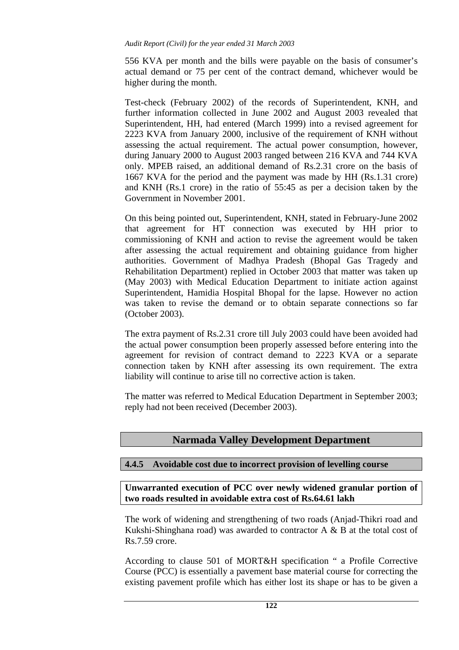556 KVA per month and the bills were payable on the basis of consumer's actual demand or 75 per cent of the contract demand, whichever would be higher during the month.

Test-check (February 2002) of the records of Superintendent, KNH, and further information collected in June 2002 and August 2003 revealed that Superintendent, HH, had entered (March 1999) into a revised agreement for 2223 KVA from January 2000, inclusive of the requirement of KNH without assessing the actual requirement. The actual power consumption, however, during January 2000 to August 2003 ranged between 216 KVA and 744 KVA only. MPEB raised, an additional demand of Rs.2.31 crore on the basis of 1667 KVA for the period and the payment was made by HH (Rs.1.31 crore) and KNH (Rs.1 crore) in the ratio of 55:45 as per a decision taken by the Government in November 2001.

On this being pointed out, Superintendent, KNH, stated in February-June 2002 that agreement for HT connection was executed by HH prior to commissioning of KNH and action to revise the agreement would be taken after assessing the actual requirement and obtaining guidance from higher authorities. Government of Madhya Pradesh (Bhopal Gas Tragedy and Rehabilitation Department) replied in October 2003 that matter was taken up (May 2003) with Medical Education Department to initiate action against Superintendent, Hamidia Hospital Bhopal for the lapse. However no action was taken to revise the demand or to obtain separate connections so far (October 2003).

The extra payment of Rs.2.31 crore till July 2003 could have been avoided had the actual power consumption been properly assessed before entering into the agreement for revision of contract demand to 2223 KVA or a separate connection taken by KNH after assessing its own requirement. The extra liability will continue to arise till no corrective action is taken.

The matter was referred to Medical Education Department in September 2003; reply had not been received (December 2003).

# **Narmada Valley Development Department**

## **4.4.5 Avoidable cost due to incorrect provision of levelling course**

**Unwarranted execution of PCC over newly widened granular portion of two roads resulted in avoidable extra cost of Rs.64.61 lakh** 

The work of widening and strengthening of two roads (Anjad-Thikri road and Kukshi-Shinghana road) was awarded to contractor  $A \& B$  at the total cost of Rs.7.59 crore.

According to clause 501 of MORT&H specification " a Profile Corrective Course (PCC) is essentially a pavement base material course for correcting the existing pavement profile which has either lost its shape or has to be given a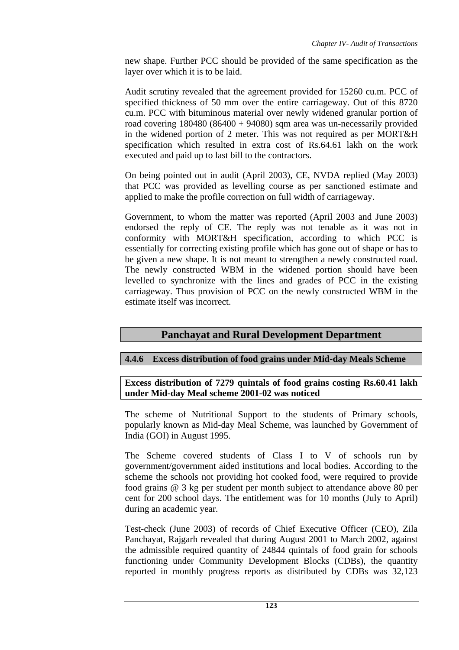new shape. Further PCC should be provided of the same specification as the layer over which it is to be laid.

Audit scrutiny revealed that the agreement provided for 15260 cu.m. PCC of specified thickness of 50 mm over the entire carriageway. Out of this 8720 cu.m. PCC with bituminous material over newly widened granular portion of road covering  $180480 (86400 + 94080)$  sqm area was un-necessarily provided in the widened portion of 2 meter. This was not required as per MORT&H specification which resulted in extra cost of Rs.64.61 lakh on the work executed and paid up to last bill to the contractors.

On being pointed out in audit (April 2003), CE, NVDA replied (May 2003) that PCC was provided as levelling course as per sanctioned estimate and applied to make the profile correction on full width of carriageway.

Government, to whom the matter was reported (April 2003 and June 2003) endorsed the reply of CE. The reply was not tenable as it was not in conformity with MORT&H specification, according to which PCC is essentially for correcting existing profile which has gone out of shape or has to be given a new shape. It is not meant to strengthen a newly constructed road. The newly constructed WBM in the widened portion should have been levelled to synchronize with the lines and grades of PCC in the existing carriageway. Thus provision of PCC on the newly constructed WBM in the estimate itself was incorrect.

# **Panchayat and Rural Development Department**

## **4.4.6 Excess distribution of food grains under Mid-day Meals Scheme**

**Excess distribution of 7279 quintals of food grains costing Rs.60.41 lakh under Mid-day Meal scheme 2001-02 was noticed** 

The scheme of Nutritional Support to the students of Primary schools, popularly known as Mid-day Meal Scheme, was launched by Government of India (GOI) in August 1995.

The Scheme covered students of Class I to V of schools run by government/government aided institutions and local bodies. According to the scheme the schools not providing hot cooked food, were required to provide food grains @ 3 kg per student per month subject to attendance above 80 per cent for 200 school days. The entitlement was for 10 months (July to April) during an academic year.

Test-check (June 2003) of records of Chief Executive Officer (CEO), Zila Panchayat, Rajgarh revealed that during August 2001 to March 2002, against the admissible required quantity of 24844 quintals of food grain for schools functioning under Community Development Blocks (CDBs), the quantity reported in monthly progress reports as distributed by CDBs was 32,123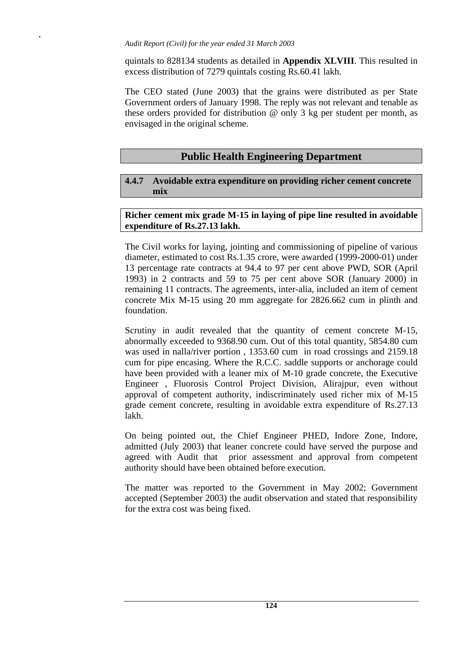**.** 

quintals to 828134 students as detailed in **Appendix XLVIII**. This resulted in excess distribution of 7279 quintals costing Rs.60.41 lakh.

The CEO stated (June 2003) that the grains were distributed as per State Government orders of January 1998. The reply was not relevant and tenable as these orders provided for distribution @ only 3 kg per student per month, as envisaged in the original scheme.

# **Public Health Engineering Department**

### **4.4.7 Avoidable extra expenditure on providing richer cement concrete mix**

### **Richer cement mix grade M-15 in laying of pipe line resulted in avoidable expenditure of Rs.27.13 lakh.**

The Civil works for laying, jointing and commissioning of pipeline of various diameter, estimated to cost Rs.1.35 crore, were awarded (1999-2000-01) under 13 percentage rate contracts at 94.4 to 97 per cent above PWD, SOR (April 1993) in 2 contracts and 59 to 75 per cent above SOR (January 2000) in remaining 11 contracts. The agreements, inter-alia, included an item of cement concrete Mix M-15 using 20 mm aggregate for 2826.662 cum in plinth and foundation.

Scrutiny in audit revealed that the quantity of cement concrete M-15, abnormally exceeded to 9368.90 cum. Out of this total quantity, 5854.80 cum was used in nalla/river portion , 1353.60 cum in road crossings and 2159.18 cum for pipe encasing. Where the R.C.C. saddle supports or anchorage could have been provided with a leaner mix of M-10 grade concrete, the Executive Engineer , Fluorosis Control Project Division, Alirajpur, even without approval of competent authority, indiscriminately used richer mix of M-15 grade cement concrete, resulting in avoidable extra expenditure of Rs.27.13 lakh.

On being pointed out, the Chief Engineer PHED, Indore Zone, Indore, admitted (July 2003) that leaner concrete could have served the purpose and agreed with Audit that prior assessment and approval from competent authority should have been obtained before execution.

The matter was reported to the Government in May 2002; Government accepted (September 2003) the audit observation and stated that responsibility for the extra cost was being fixed.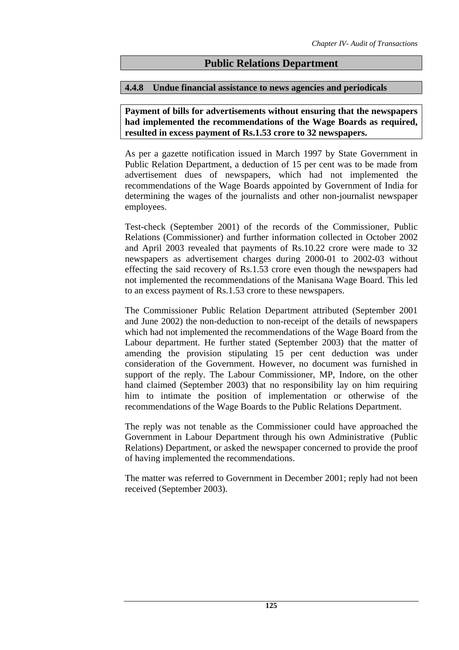# **Public Relations Department**

#### **4.4.8 Undue financial assistance to news agencies and periodicals**

**Payment of bills for advertisements without ensuring that the newspapers had implemented the recommendations of the Wage Boards as required, resulted in excess payment of Rs.1.53 crore to 32 newspapers.** 

As per a gazette notification issued in March 1997 by State Government in Public Relation Department, a deduction of 15 per cent was to be made from advertisement dues of newspapers, which had not implemented the recommendations of the Wage Boards appointed by Government of India for determining the wages of the journalists and other non-journalist newspaper employees.

Test-check (September 2001) of the records of the Commissioner, Public Relations (Commissioner) and further information collected in October 2002 and April 2003 revealed that payments of Rs.10.22 crore were made to 32 newspapers as advertisement charges during 2000-01 to 2002-03 without effecting the said recovery of Rs.1.53 crore even though the newspapers had not implemented the recommendations of the Manisana Wage Board. This led to an excess payment of Rs.1.53 crore to these newspapers.

The Commissioner Public Relation Department attributed (September 2001 and June 2002) the non-deduction to non-receipt of the details of newspapers which had not implemented the recommendations of the Wage Board from the Labour department. He further stated (September 2003) that the matter of amending the provision stipulating 15 per cent deduction was under consideration of the Government. However, no document was furnished in support of the reply. The Labour Commissioner, MP, Indore, on the other hand claimed (September 2003) that no responsibility lay on him requiring him to intimate the position of implementation or otherwise of the recommendations of the Wage Boards to the Public Relations Department.

The reply was not tenable as the Commissioner could have approached the Government in Labour Department through his own Administrative (Public Relations) Department, or asked the newspaper concerned to provide the proof of having implemented the recommendations.

The matter was referred to Government in December 2001; reply had not been received (September 2003).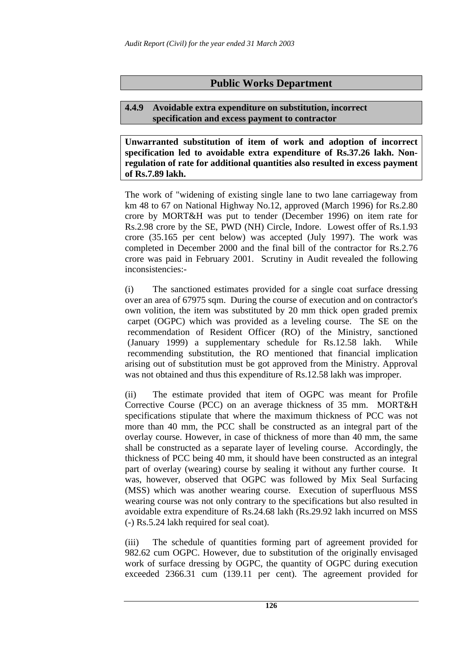# **Public Works Department**

### **4.4.9 Avoidable extra expenditure on substitution, incorrect specification and excess payment to contractor**

**Unwarranted substitution of item of work and adoption of incorrect specification led to avoidable extra expenditure of Rs.37.26 lakh. Nonregulation of rate for additional quantities also resulted in excess payment of Rs.7.89 lakh.** 

The work of "widening of existing single lane to two lane carriageway from km 48 to 67 on National Highway No.12, approved (March 1996) for Rs.2.80 crore by MORT&H was put to tender (December 1996) on item rate for Rs.2.98 crore by the SE, PWD (NH) Circle, Indore. Lowest offer of Rs.1.93 crore (35.165 per cent below) was accepted (July 1997). The work was completed in December 2000 and the final bill of the contractor for Rs.2.76 crore was paid in February 2001. Scrutiny in Audit revealed the following inconsistencies:-

(i) The sanctioned estimates provided for a single coat surface dressing over an area of 67975 sqm. During the course of execution and on contractor's own volition, the item was substituted by 20 mm thick open graded premix carpet (OGPC) which was provided as a leveling course. The SE on the recommendation of Resident Officer (RO) of the Ministry, sanctioned (January 1999) a supplementary schedule for Rs.12.58 lakh. While recommending substitution, the RO mentioned that financial implication arising out of substitution must be got approved from the Ministry. Approval was not obtained and thus this expenditure of Rs.12.58 lakh was improper.

(ii) The estimate provided that item of OGPC was meant for Profile Corrective Course (PCC) on an average thickness of 35 mm. MORT&H specifications stipulate that where the maximum thickness of PCC was not more than 40 mm, the PCC shall be constructed as an integral part of the overlay course. However, in case of thickness of more than 40 mm, the same shall be constructed as a separate layer of leveling course. Accordingly, the thickness of PCC being 40 mm, it should have been constructed as an integral part of overlay (wearing) course by sealing it without any further course. It was, however, observed that OGPC was followed by Mix Seal Surfacing (MSS) which was another wearing course. Execution of superfluous MSS wearing course was not only contrary to the specifications but also resulted in avoidable extra expenditure of Rs.24.68 lakh (Rs.29.92 lakh incurred on MSS (-) Rs.5.24 lakh required for seal coat).

(iii) The schedule of quantities forming part of agreement provided for 982.62 cum OGPC. However, due to substitution of the originally envisaged work of surface dressing by OGPC, the quantity of OGPC during execution exceeded 2366.31 cum (139.11 per cent). The agreement provided for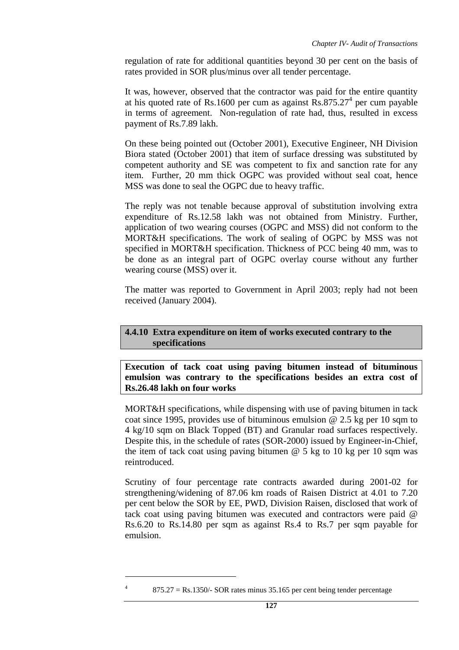regulation of rate for additional quantities beyond 30 per cent on the basis of rates provided in SOR plus/minus over all tender percentage.

It was, however, observed that the contractor was paid for the entire quantity at his quoted rate of Rs.1600 per cum as against  $\overline{R}$ s.875.27<sup>4</sup> per cum payable in terms of agreement. Non-regulation of rate had, thus, resulted in excess payment of Rs.7.89 lakh.

On these being pointed out (October 2001), Executive Engineer, NH Division Biora stated (October 2001) that item of surface dressing was substituted by competent authority and SE was competent to fix and sanction rate for any item. Further, 20 mm thick OGPC was provided without seal coat, hence MSS was done to seal the OGPC due to heavy traffic.

The reply was not tenable because approval of substitution involving extra expenditure of Rs.12.58 lakh was not obtained from Ministry. Further, application of two wearing courses (OGPC and MSS) did not conform to the MORT&H specifications. The work of sealing of OGPC by MSS was not specified in MORT&H specification. Thickness of PCC being 40 mm, was to be done as an integral part of OGPC overlay course without any further wearing course (MSS) over it.

The matter was reported to Government in April 2003; reply had not been received (January 2004).

### **4.4.10 Extra expenditure on item of works executed contrary to the specifications**

**Execution of tack coat using paving bitumen instead of bituminous emulsion was contrary to the specifications besides an extra cost of Rs.26.48 lakh on four works** 

MORT&H specifications, while dispensing with use of paving bitumen in tack coat since 1995, provides use of bituminous emulsion  $\omega$  2.5 kg per 10 sqm to 4 kg/10 sqm on Black Topped (BT) and Granular road surfaces respectively. Despite this, in the schedule of rates (SOR-2000) issued by Engineer-in-Chief, the item of tack coat using paving bitumen  $\omega$  5 kg to 10 kg per 10 sqm was reintroduced.

Scrutiny of four percentage rate contracts awarded during 2001-02 for strengthening/widening of 87.06 km roads of Raisen District at 4.01 to 7.20 per cent below the SOR by EE, PWD, Division Raisen, disclosed that work of tack coat using paving bitumen was executed and contractors were paid @ Rs.6.20 to Rs.14.80 per sqm as against Rs.4 to Rs.7 per sqm payable for emulsion.

 $875.27 =$  Rs.1350/- SOR rates minus 35.165 per cent being tender percentage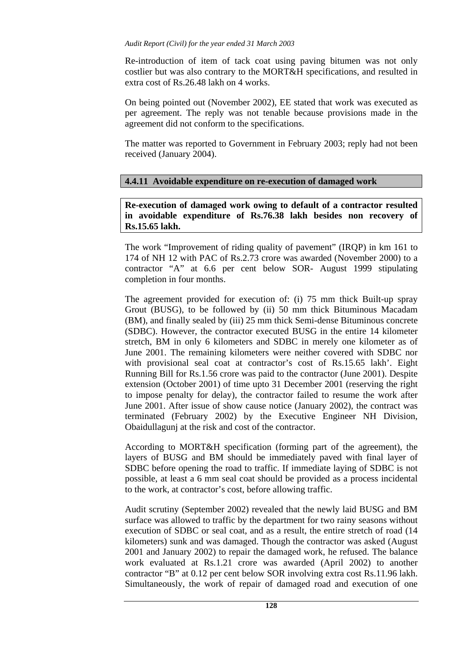Re-introduction of item of tack coat using paving bitumen was not only costlier but was also contrary to the MORT&H specifications, and resulted in extra cost of Rs.26.48 lakh on 4 works.

On being pointed out (November 2002), EE stated that work was executed as per agreement. The reply was not tenable because provisions made in the agreement did not conform to the specifications.

The matter was reported to Government in February 2003; reply had not been received (January 2004).

### **4.4.11 Avoidable expenditure on re-execution of damaged work**

**Re-execution of damaged work owing to default of a contractor resulted in avoidable expenditure of Rs.76.38 lakh besides non recovery of Rs.15.65 lakh.** 

The work "Improvement of riding quality of pavement" (IRQP) in km 161 to 174 of NH 12 with PAC of Rs.2.73 crore was awarded (November 2000) to a contractor "A" at 6.6 per cent below SOR- August 1999 stipulating completion in four months.

The agreement provided for execution of: (i) 75 mm thick Built-up spray Grout (BUSG), to be followed by (ii) 50 mm thick Bituminous Macadam (BM), and finally sealed by (iii) 25 mm thick Semi-dense Bituminous concrete (SDBC). However, the contractor executed BUSG in the entire 14 kilometer stretch, BM in only 6 kilometers and SDBC in merely one kilometer as of June 2001. The remaining kilometers were neither covered with SDBC nor with provisional seal coat at contractor's cost of Rs.15.65 lakh'. Eight Running Bill for Rs.1.56 crore was paid to the contractor (June 2001). Despite extension (October 2001) of time upto 31 December 2001 (reserving the right to impose penalty for delay), the contractor failed to resume the work after June 2001. After issue of show cause notice (January 2002), the contract was terminated (February 2002) by the Executive Engineer NH Division, Obaidullagunj at the risk and cost of the contractor.

According to MORT&H specification (forming part of the agreement), the layers of BUSG and BM should be immediately paved with final layer of SDBC before opening the road to traffic. If immediate laying of SDBC is not possible, at least a 6 mm seal coat should be provided as a process incidental to the work, at contractor's cost, before allowing traffic.

Audit scrutiny (September 2002) revealed that the newly laid BUSG and BM surface was allowed to traffic by the department for two rainy seasons without execution of SDBC or seal coat, and as a result, the entire stretch of road (14 kilometers) sunk and was damaged. Though the contractor was asked (August 2001 and January 2002) to repair the damaged work, he refused. The balance work evaluated at Rs.1.21 crore was awarded (April 2002) to another contractor "B" at 0.12 per cent below SOR involving extra cost Rs.11.96 lakh. Simultaneously, the work of repair of damaged road and execution of one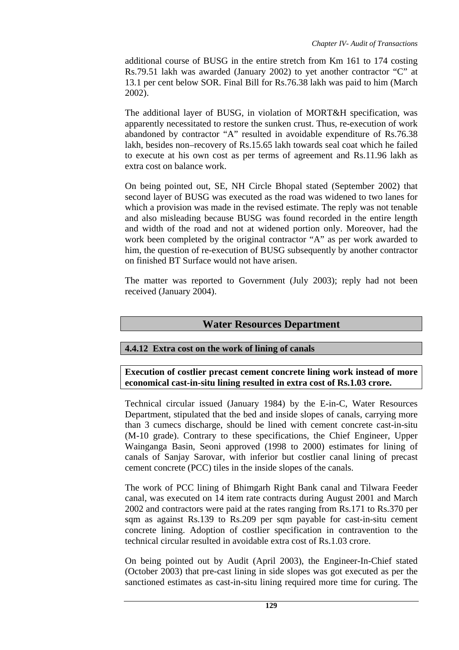additional course of BUSG in the entire stretch from Km 161 to 174 costing Rs.79.51 lakh was awarded (January 2002) to yet another contractor "C" at 13.1 per cent below SOR. Final Bill for Rs.76.38 lakh was paid to him (March 2002).

The additional layer of BUSG, in violation of MORT&H specification, was apparently necessitated to restore the sunken crust. Thus, re-execution of work abandoned by contractor "A" resulted in avoidable expenditure of Rs.76.38 lakh, besides non–recovery of Rs.15.65 lakh towards seal coat which he failed to execute at his own cost as per terms of agreement and Rs.11.96 lakh as extra cost on balance work.

On being pointed out, SE, NH Circle Bhopal stated (September 2002) that second layer of BUSG was executed as the road was widened to two lanes for which a provision was made in the revised estimate. The reply was not tenable and also misleading because BUSG was found recorded in the entire length and width of the road and not at widened portion only. Moreover, had the work been completed by the original contractor "A" as per work awarded to him, the question of re-execution of BUSG subsequently by another contractor on finished BT Surface would not have arisen.

The matter was reported to Government (July 2003); reply had not been received (January 2004).

# **Water Resources Department**

## **4.4.12 Extra cost on the work of lining of canals**

**Execution of costlier precast cement concrete lining work instead of more economical cast-in-situ lining resulted in extra cost of Rs.1.03 crore.** 

Technical circular issued (January 1984) by the E-in-C, Water Resources Department, stipulated that the bed and inside slopes of canals, carrying more than 3 cumecs discharge, should be lined with cement concrete cast-in-situ (M-10 grade). Contrary to these specifications, the Chief Engineer, Upper Wainganga Basin, Seoni approved (1998 to 2000) estimates for lining of canals of Sanjay Sarovar, with inferior but costlier canal lining of precast cement concrete (PCC) tiles in the inside slopes of the canals.

The work of PCC lining of Bhimgarh Right Bank canal and Tilwara Feeder canal, was executed on 14 item rate contracts during August 2001 and March 2002 and contractors were paid at the rates ranging from Rs.171 to Rs.370 per sqm as against Rs.139 to Rs.209 per sqm payable for cast-in-situ cement concrete lining. Adoption of costlier specification in contravention to the technical circular resulted in avoidable extra cost of Rs.1.03 crore.

On being pointed out by Audit (April 2003), the Engineer-In-Chief stated (October 2003) that pre-cast lining in side slopes was got executed as per the sanctioned estimates as cast-in-situ lining required more time for curing. The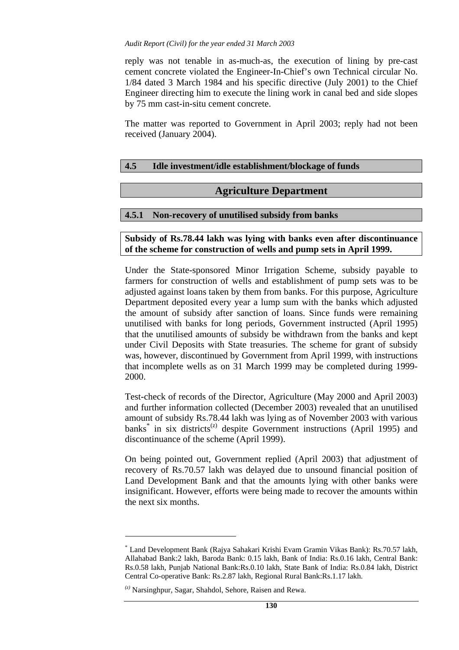reply was not tenable in as-much-as, the execution of lining by pre-cast cement concrete violated the Engineer-In-Chief's own Technical circular No. 1/84 dated 3 March 1984 and his specific directive (July 2001) to the Chief Engineer directing him to execute the lining work in canal bed and side slopes by 75 mm cast-in-situ cement concrete.

The matter was reported to Government in April 2003; reply had not been received (January 2004).

## **4.5 Idle investment/idle establishment/blockage of funds**

### **Agriculture Department**

### **4.5.1 Non-recovery of unutilised subsidy from banks**

#### **Subsidy of Rs.78.44 lakh was lying with banks even after discontinuance of the scheme for construction of wells and pump sets in April 1999.**

Under the State-sponsored Minor Irrigation Scheme, subsidy payable to farmers for construction of wells and establishment of pump sets was to be adjusted against loans taken by them from banks. For this purpose, Agriculture Department deposited every year a lump sum with the banks which adjusted the amount of subsidy after sanction of loans. Since funds were remaining unutilised with banks for long periods, Government instructed (April 1995) that the unutilised amounts of subsidy be withdrawn from the banks and kept under Civil Deposits with State treasuries. The scheme for grant of subsidy was, however, discontinued by Government from April 1999, with instructions that incomplete wells as on 31 March 1999 may be completed during 1999- 2000.

Test-check of records of the Director, Agriculture (May 2000 and April 2003) and further information collected (December 2003) revealed that an unutilised amount of subsidy Rs.78.44 lakh was lying as of November 2003 with various banks<sup>\*</sup> in six districts<sup>(z)</sup> despite Government instructions (April 1995) and discontinuance of the scheme (April 1999).

On being pointed out, Government replied (April 2003) that adjustment of recovery of Rs.70.57 lakh was delayed due to unsound financial position of Land Development Bank and that the amounts lying with other banks were insignificant. However, efforts were being made to recover the amounts within the next six months.

<sup>\*</sup> Land Development Bank (Rajya Sahakari Krishi Evam Gramin Vikas Bank): Rs.70.57 lakh, Allahabad Bank:2 lakh, Baroda Bank: 0.15 lakh, Bank of India: Rs.0.16 lakh, Central Bank: Rs.0.58 lakh, Punjab National Bank:Rs.0.10 lakh, State Bank of India: Rs.0.84 lakh, District Central Co-operative Bank: Rs.2.87 lakh, Regional Rural Bank:Rs.1.17 lakh.

*<sup>(</sup>z)* Narsinghpur, Sagar, Shahdol, Sehore, Raisen and Rewa.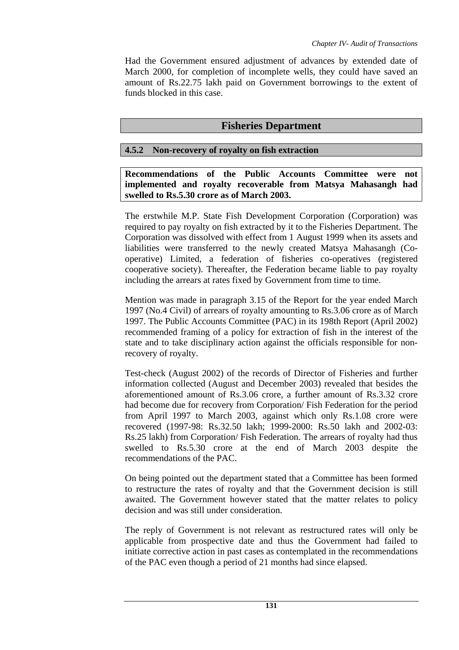Had the Government ensured adjustment of advances by extended date of March 2000, for completion of incomplete wells, they could have saved an amount of Rs.22.75 lakh paid on Government borrowings to the extent of funds blocked in this case.

# **Fisheries Department**

# **4.5.2 Non-recovery of royalty on fish extraction**

**Recommendations of the Public Accounts Committee were not implemented and royalty recoverable from Matsya Mahasangh had swelled to Rs.5.30 crore as of March 2003.** 

The erstwhile M.P. State Fish Development Corporation (Corporation) was required to pay royalty on fish extracted by it to the Fisheries Department. The Corporation was dissolved with effect from 1 August 1999 when its assets and liabilities were transferred to the newly created Matsya Mahasangh (Cooperative) Limited, a federation of fisheries co-operatives (registered cooperative society). Thereafter, the Federation became liable to pay royalty including the arrears at rates fixed by Government from time to time.

Mention was made in paragraph 3.15 of the Report for the year ended March 1997 (No.4 Civil) of arrears of royalty amounting to Rs.3.06 crore as of March 1997. The Public Accounts Committee (PAC) in its 198th Report (April 2002) recommended framing of a policy for extraction of fish in the interest of the state and to take disciplinary action against the officials responsible for nonrecovery of royalty.

Test-check (August 2002) of the records of Director of Fisheries and further information collected (August and December 2003) revealed that besides the aforementioned amount of Rs.3.06 crore, a further amount of Rs.3.32 crore had become due for recovery from Corporation/ Fish Federation for the period from April 1997 to March 2003, against which only Rs.1.08 crore were recovered (1997-98: Rs.32.50 lakh; 1999-2000: Rs.50 lakh and 2002-03: Rs.25 lakh) from Corporation/ Fish Federation. The arrears of royalty had thus swelled to Rs.5.30 crore at the end of March 2003 despite the recommendations of the PAC.

On being pointed out the department stated that a Committee has been formed to restructure the rates of royalty and that the Government decision is still awaited. The Government however stated that the matter relates to policy decision and was still under consideration.

The reply of Government is not relevant as restructured rates will only be applicable from prospective date and thus the Government had failed to initiate corrective action in past cases as contemplated in the recommendations of the PAC even though a period of 21 months had since elapsed.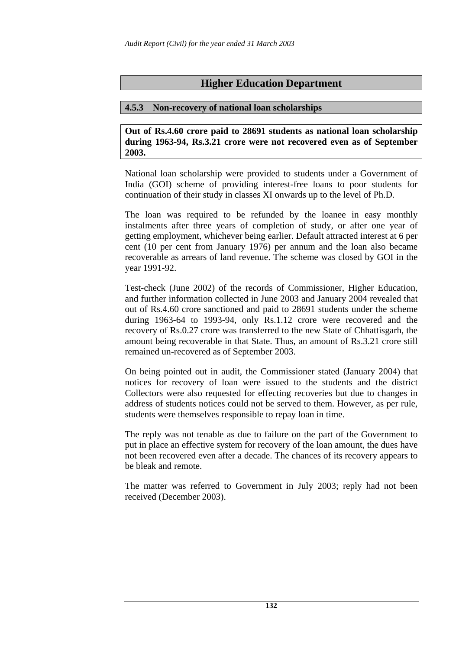# **Higher Education Department**

#### **4.5.3 Non-recovery of national loan scholarships**

**Out of Rs.4.60 crore paid to 28691 students as national loan scholarship during 1963-94, Rs.3.21 crore were not recovered even as of September 2003.** 

National loan scholarship were provided to students under a Government of India (GOI) scheme of providing interest-free loans to poor students for continuation of their study in classes XI onwards up to the level of Ph.D.

The loan was required to be refunded by the loanee in easy monthly instalments after three years of completion of study, or after one year of getting employment, whichever being earlier. Default attracted interest at 6 per cent (10 per cent from January 1976) per annum and the loan also became recoverable as arrears of land revenue. The scheme was closed by GOI in the year 1991-92.

Test-check (June 2002) of the records of Commissioner, Higher Education, and further information collected in June 2003 and January 2004 revealed that out of Rs.4.60 crore sanctioned and paid to 28691 students under the scheme during 1963-64 to 1993-94, only Rs.1.12 crore were recovered and the recovery of Rs.0.27 crore was transferred to the new State of Chhattisgarh, the amount being recoverable in that State. Thus, an amount of Rs.3.21 crore still remained un-recovered as of September 2003.

On being pointed out in audit, the Commissioner stated (January 2004) that notices for recovery of loan were issued to the students and the district Collectors were also requested for effecting recoveries but due to changes in address of students notices could not be served to them. However, as per rule, students were themselves responsible to repay loan in time.

The reply was not tenable as due to failure on the part of the Government to put in place an effective system for recovery of the loan amount, the dues have not been recovered even after a decade. The chances of its recovery appears to be bleak and remote.

The matter was referred to Government in July 2003; reply had not been received (December 2003).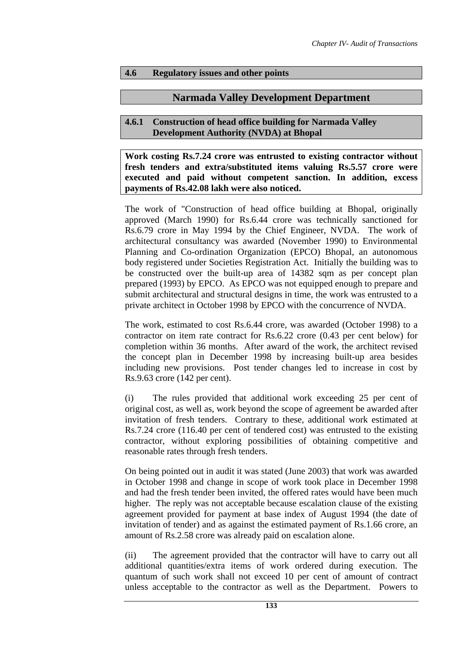# **4.6 Regulatory issues and other points**

# **Narmada Valley Development Department**

### **4.6.1 Construction of head office building for Narmada Valley Development Authority (NVDA) at Bhopal**

**Work costing Rs.7.24 crore was entrusted to existing contractor without fresh tenders and extra/substituted items valuing Rs.5.57 crore were executed and paid without competent sanction. In addition, excess payments of Rs.42.08 lakh were also noticed.** 

The work of "Construction of head office building at Bhopal, originally approved (March 1990) for Rs.6.44 crore was technically sanctioned for Rs.6.79 crore in May 1994 by the Chief Engineer, NVDA. The work of architectural consultancy was awarded (November 1990) to Environmental Planning and Co-ordination Organization (EPCO) Bhopal, an autonomous body registered under Societies Registration Act. Initially the building was to be constructed over the built-up area of 14382 sqm as per concept plan prepared (1993) by EPCO. As EPCO was not equipped enough to prepare and submit architectural and structural designs in time, the work was entrusted to a private architect in October 1998 by EPCO with the concurrence of NVDA.

The work, estimated to cost Rs.6.44 crore, was awarded (October 1998) to a contractor on item rate contract for Rs.6.22 crore (0.43 per cent below) for completion within 36 months. After award of the work, the architect revised the concept plan in December 1998 by increasing built-up area besides including new provisions. Post tender changes led to increase in cost by Rs.9.63 crore (142 per cent).

(i) The rules provided that additional work exceeding 25 per cent of original cost, as well as, work beyond the scope of agreement be awarded after invitation of fresh tenders. Contrary to these, additional work estimated at Rs.7.24 crore (116.40 per cent of tendered cost) was entrusted to the existing contractor, without exploring possibilities of obtaining competitive and reasonable rates through fresh tenders.

On being pointed out in audit it was stated (June 2003) that work was awarded in October 1998 and change in scope of work took place in December 1998 and had the fresh tender been invited, the offered rates would have been much higher. The reply was not acceptable because escalation clause of the existing agreement provided for payment at base index of August 1994 (the date of invitation of tender) and as against the estimated payment of Rs.1.66 crore, an amount of Rs.2.58 crore was already paid on escalation alone.

(ii) The agreement provided that the contractor will have to carry out all additional quantities/extra items of work ordered during execution. The quantum of such work shall not exceed 10 per cent of amount of contract unless acceptable to the contractor as well as the Department. Powers to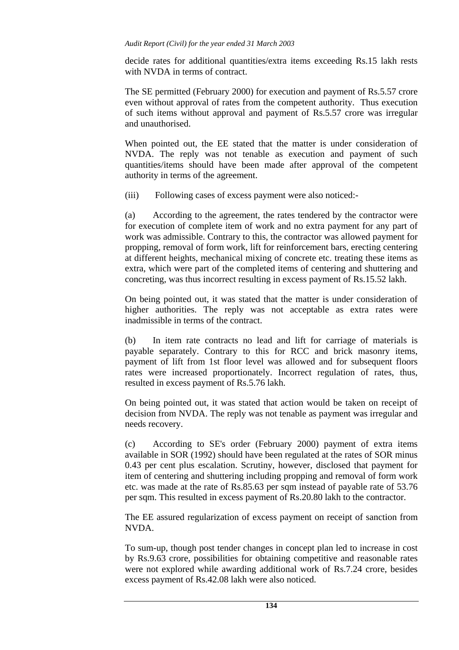decide rates for additional quantities/extra items exceeding Rs.15 lakh rests with NVDA in terms of contract.

The SE permitted (February 2000) for execution and payment of Rs.5.57 crore even without approval of rates from the competent authority. Thus execution of such items without approval and payment of Rs.5.57 crore was irregular and unauthorised.

When pointed out, the EE stated that the matter is under consideration of NVDA. The reply was not tenable as execution and payment of such quantities/items should have been made after approval of the competent authority in terms of the agreement.

(iii) Following cases of excess payment were also noticed:-

(a) According to the agreement, the rates tendered by the contractor were for execution of complete item of work and no extra payment for any part of work was admissible. Contrary to this, the contractor was allowed payment for propping, removal of form work, lift for reinforcement bars, erecting centering at different heights, mechanical mixing of concrete etc. treating these items as extra, which were part of the completed items of centering and shuttering and concreting, was thus incorrect resulting in excess payment of Rs.15.52 lakh.

On being pointed out, it was stated that the matter is under consideration of higher authorities. The reply was not acceptable as extra rates were inadmissible in terms of the contract.

(b) In item rate contracts no lead and lift for carriage of materials is payable separately. Contrary to this for RCC and brick masonry items, payment of lift from 1st floor level was allowed and for subsequent floors rates were increased proportionately. Incorrect regulation of rates, thus, resulted in excess payment of Rs.5.76 lakh.

On being pointed out, it was stated that action would be taken on receipt of decision from NVDA. The reply was not tenable as payment was irregular and needs recovery.

(c) According to SE's order (February 2000) payment of extra items available in SOR (1992) should have been regulated at the rates of SOR minus 0.43 per cent plus escalation. Scrutiny, however, disclosed that payment for item of centering and shuttering including propping and removal of form work etc. was made at the rate of Rs.85.63 per sqm instead of payable rate of 53.76 per sqm. This resulted in excess payment of Rs.20.80 lakh to the contractor.

The EE assured regularization of excess payment on receipt of sanction from NVDA.

To sum-up, though post tender changes in concept plan led to increase in cost by Rs.9.63 crore, possibilities for obtaining competitive and reasonable rates were not explored while awarding additional work of Rs.7.24 crore, besides excess payment of Rs.42.08 lakh were also noticed.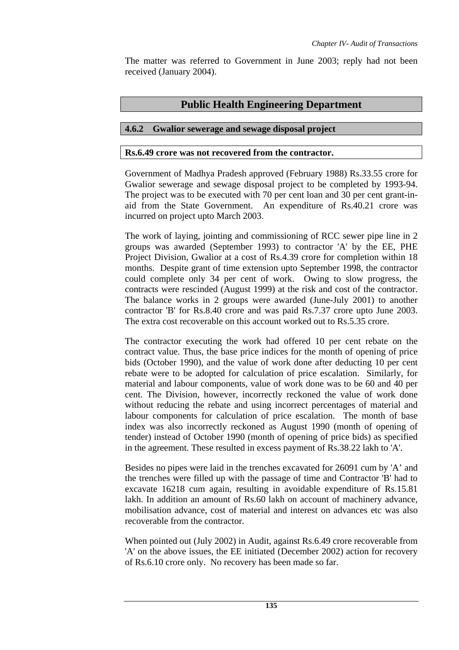The matter was referred to Government in June 2003; reply had not been received (January 2004).

# **Public Health Engineering Department**

# **4.6.2 Gwalior sewerage and sewage disposal project**

### **Rs.6.49 crore was not recovered from the contractor.**

Government of Madhya Pradesh approved (February 1988) Rs.33.55 crore for Gwalior sewerage and sewage disposal project to be completed by 1993-94. The project was to be executed with 70 per cent loan and 30 per cent grant-inaid from the State Government. An expenditure of Rs.40.21 crore was incurred on project upto March 2003.

The work of laying, jointing and commissioning of RCC sewer pipe line in 2 groups was awarded (September 1993) to contractor 'A' by the EE, PHE Project Division, Gwalior at a cost of Rs.4.39 crore for completion within 18 months. Despite grant of time extension upto September 1998, the contractor could complete only 34 per cent of work. Owing to slow progress, the contracts were rescinded (August 1999) at the risk and cost of the contractor. The balance works in 2 groups were awarded (June-July 2001) to another contractor 'B' for Rs.8.40 crore and was paid Rs.7.37 crore upto June 2003. The extra cost recoverable on this account worked out to Rs.5.35 crore.

The contractor executing the work had offered 10 per cent rebate on the contract value. Thus, the base price indices for the month of opening of price bids (October 1990), and the value of work done after deducting 10 per cent rebate were to be adopted for calculation of price escalation. Similarly, for material and labour components, value of work done was to be 60 and 40 per cent. The Division, however, incorrectly reckoned the value of work done without reducing the rebate and using incorrect percentages of material and labour components for calculation of price escalation. The month of base index was also incorrectly reckoned as August 1990 (month of opening of tender) instead of October 1990 (month of opening of price bids) as specified in the agreement. These resulted in excess payment of Rs.38.22 lakh to 'A'.

Besides no pipes were laid in the trenches excavated for 26091 cum by 'A' and the trenches were filled up with the passage of time and Contractor 'B' had to excavate 16218 cum again, resulting in avoidable expenditure of Rs.15.81 lakh. In addition an amount of Rs.60 lakh on account of machinery advance, mobilisation advance, cost of material and interest on advances etc was also recoverable from the contractor.

When pointed out (July 2002) in Audit, against Rs.6.49 crore recoverable from 'A' on the above issues, the EE initiated (December 2002) action for recovery of Rs.6.10 crore only. No recovery has been made so far.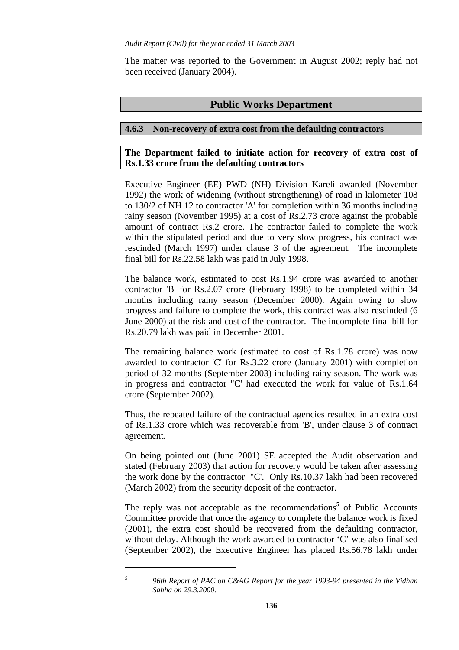The matter was reported to the Government in August 2002; reply had not been received (January 2004).

# **Public Works Department**

# **4.6.3 Non-recovery of extra cost from the defaulting contractors**

## **The Department failed to initiate action for recovery of extra cost of Rs.1.33 crore from the defaulting contractors**

Executive Engineer (EE) PWD (NH) Division Kareli awarded (November 1992) the work of widening (without strengthening) of road in kilometer 108 to 130/2 of NH 12 to contractor 'A' for completion within 36 months including rainy season (November 1995) at a cost of Rs.2.73 crore against the probable amount of contract Rs.2 crore. The contractor failed to complete the work within the stipulated period and due to very slow progress, his contract was rescinded (March 1997) under clause 3 of the agreement. The incomplete final bill for Rs.22.58 lakh was paid in July 1998.

The balance work, estimated to cost Rs.1.94 crore was awarded to another contractor 'B' for Rs.2.07 crore (February 1998) to be completed within 34 months including rainy season (December 2000). Again owing to slow progress and failure to complete the work, this contract was also rescinded (6 June 2000) at the risk and cost of the contractor. The incomplete final bill for Rs.20.79 lakh was paid in December 2001.

The remaining balance work (estimated to cost of Rs.1.78 crore) was now awarded to contractor 'C' for Rs.3.22 crore (January 2001) with completion period of 32 months (September 2003) including rainy season. The work was in progress and contractor "C' had executed the work for value of Rs.1.64 crore (September 2002).

Thus, the repeated failure of the contractual agencies resulted in an extra cost of Rs.1.33 crore which was recoverable from 'B', under clause 3 of contract agreement.

On being pointed out (June 2001) SE accepted the Audit observation and stated (February 2003) that action for recovery would be taken after assessing the work done by the contractor "C'. Only Rs.10.37 lakh had been recovered (March 2002) from the security deposit of the contractor.

The reply was not acceptable as the recommendations<sup>5</sup> of Public Accounts Committee provide that once the agency to complete the balance work is fixed (2001), the extra cost should be recovered from the defaulting contractor, without delay. Although the work awarded to contractor 'C' was also finalised (September 2002), the Executive Engineer has placed Rs.56.78 lakh under

*<sup>5</sup> 96th Report of PAC on C&AG Report for the year 1993-94 presented in the Vidhan Sabha on 29.3.2000.*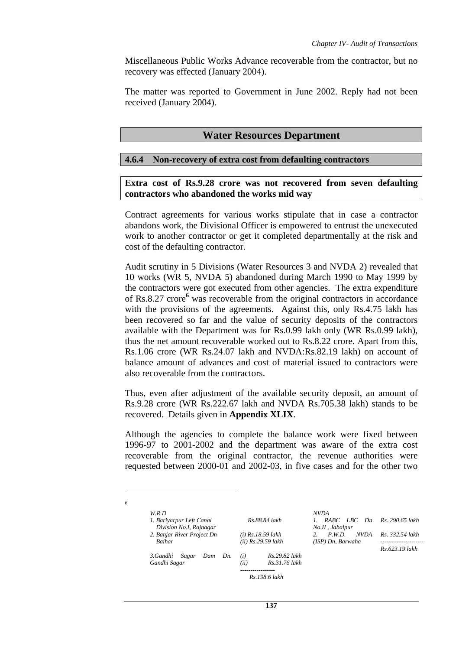Miscellaneous Public Works Advance recoverable from the contractor, but no recovery was effected (January 2004).

The matter was reported to Government in June 2002. Reply had not been received (January 2004).

### **Water Resources Department**

#### **4.6.4 Non-recovery of extra cost from defaulting contractors**

#### **Extra cost of Rs.9.28 crore was not recovered from seven defaulting contractors who abandoned the works mid way**

Contract agreements for various works stipulate that in case a contractor abandons work, the Divisional Officer is empowered to entrust the unexecuted work to another contractor or get it completed departmentally at the risk and cost of the defaulting contractor.

Audit scrutiny in 5 Divisions (Water Resources 3 and NVDA 2) revealed that 10 works (WR 5, NVDA 5) abandoned during March 1990 to May 1999 by the contractors were got executed from other agencies. The extra expenditure of Rs.8.27 crore**<sup>6</sup>** was recoverable from the original contractors in accordance with the provisions of the agreements. Against this, only Rs.4.75 lakh has been recovered so far and the value of security deposits of the contractors available with the Department was for Rs.0.99 lakh only (WR Rs.0.99 lakh), thus the net amount recoverable worked out to Rs.8.22 crore. Apart from this, Rs.1.06 crore (WR Rs.24.07 lakh and NVDA:Rs.82.19 lakh) on account of balance amount of advances and cost of material issued to contractors were also recoverable from the contractors.

Thus, even after adjustment of the available security deposit, an amount of Rs.9.28 crore (WR Rs.222.67 lakh and NVDA Rs.705.38 lakh) stands to be recovered. Details given in **Appendix XLIX**.

Although the agencies to complete the balance work were fixed between 1996-97 to 2001-2002 and the department was aware of the extra cost recoverable from the original contractor, the revenue authorities were requested between 2000-01 and 2002-03, in five cases and for the other two

| 6 |                                                     |                                               |                                                    |                                      |
|---|-----------------------------------------------------|-----------------------------------------------|----------------------------------------------------|--------------------------------------|
|   | W.R.D                                               |                                               | <b>NVDA</b>                                        |                                      |
|   | 1. Bariyarpur Left Canal<br>Division No.I, Rajnagar | Rs.88.84 lakh                                 | RABC LBC Dn<br>No.II, Jabalpur                     | Rs. 290.65 lakh                      |
|   | 2. Banjar River Project Dn<br><b>Baihar</b>         | $(i)$ Rs.18.59 lakh<br>$(ii)$ Rs.29.59 lakh   | 2.<br>$P$ W.D.<br><b>NVDA</b><br>(ISP) Dn, Barwaha | Rs. 332.54 lakh<br>----------------- |
|   | 3.Gandhi<br>Sagar<br>Dam<br>Dn.<br>Gandhi Sagar     | Rs.29.82 lakh<br>(i)<br>(ii)<br>Rs.31.76 lakh |                                                    | Rs.623.19 lakh                       |
|   |                                                     | Rs. 198.6 lakh                                |                                                    |                                      |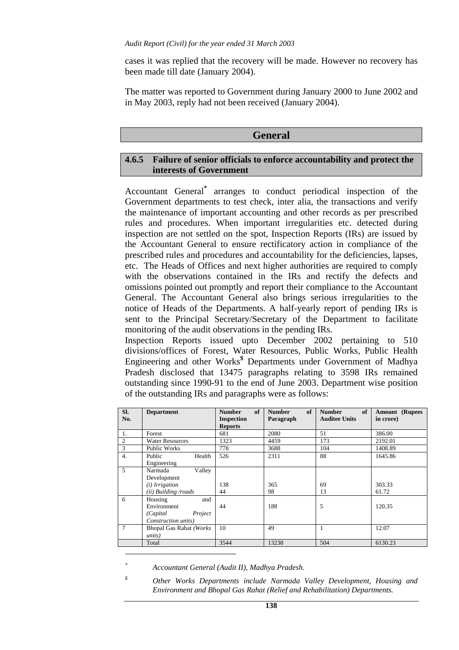cases it was replied that the recovery will be made. However no recovery has been made till date (January 2004).

The matter was reported to Government during January 2000 to June 2002 and in May 2003, reply had not been received (January 2004).

## **General**

#### **4.6.5 Failure of senior officials to enforce accountability and protect the interests of Government**

Accountant General**\*** arranges to conduct periodical inspection of the Government departments to test check, inter alia, the transactions and verify the maintenance of important accounting and other records as per prescribed rules and procedures. When important irregularities etc. detected during inspection are not settled on the spot, Inspection Reports (IRs) are issued by the Accountant General to ensure rectificatory action in compliance of the prescribed rules and procedures and accountability for the deficiencies, lapses, etc. The Heads of Offices and next higher authorities are required to comply with the observations contained in the IRs and rectify the defects and omissions pointed out promptly and report their compliance to the Accountant General. The Accountant General also brings serious irregularities to the notice of Heads of the Departments. A half-yearly report of pending IRs is sent to the Principal Secretary/Secretary of the Department to facilitate monitoring of the audit observations in the pending IRs.

Inspection Reports issued upto December 2002 pertaining to 510 divisions/offices of Forest, Water Resources, Public Works, Public Health Engineering and other Works**\$** Departments under Government of Madhya Pradesh disclosed that 13475 paragraphs relating to 3598 IRs remained outstanding since 1990-91 to the end of June 2003. Department wise position of the outstanding IRs and paragraphs were as follows:

| SI.<br>No. | <b>Department</b>                                                                   | of<br><b>Number</b><br><b>Inspection</b><br><b>Reports</b> | of<br><b>Number</b><br>Paragraph | of<br><b>Number</b><br><b>Auditee Units</b> | <b>Amount</b> (Rupees<br>in crore) |
|------------|-------------------------------------------------------------------------------------|------------------------------------------------------------|----------------------------------|---------------------------------------------|------------------------------------|
| 1.         | Forest                                                                              | 681                                                        | 2080                             | 51                                          | 386.00                             |
| 2          | <b>Water Resources</b>                                                              | 1323                                                       | 4459                             | 173                                         | 2192.01                            |
| 3          | <b>Public Works</b>                                                                 | 778                                                        | 3688                             | 104                                         | 1408.89                            |
| 4.         | Public<br>Health<br>Engineering                                                     | 526                                                        | 2311                             | 88                                          | 1645.86                            |
| 5          | Valley<br>Narmada<br>Development<br>( <i>i</i> ) Irrigation<br>(ii) Building /roads | 138<br>44                                                  | 365<br>98                        | 69<br>13                                    | 303.33<br>61.72                    |
| 6          | Housing<br>and<br>Environment<br>Project<br>(Capital)<br>Construction units)        | 44                                                         | 188                              | 5                                           | 120.35                             |
| $\tau$     | <b>Bhopal Gas Rahat (Works)</b><br>units)                                           | 10                                                         | 49                               |                                             | 12.07                              |
|            | Total                                                                               | 3544                                                       | 13238                            | 504                                         | 6130.23                            |
|            |                                                                                     |                                                            |                                  |                                             |                                    |

*\* Accountant General (Audit II), Madhya Pradesh.* 

*<sup>\$</sup> Other Works Departments include Narmada Valley Development, Housing and Environment and Bhopal Gas Rahat (Relief and Rehabilitation) Departments.*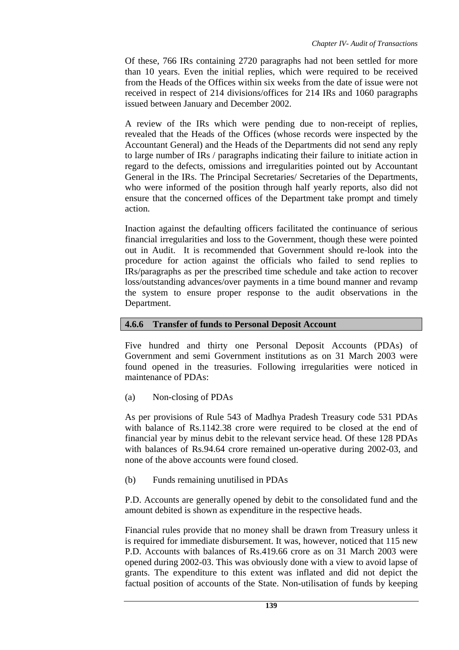Of these, 766 IRs containing 2720 paragraphs had not been settled for more than 10 years. Even the initial replies, which were required to be received from the Heads of the Offices within six weeks from the date of issue were not received in respect of 214 divisions/offices for 214 IRs and 1060 paragraphs issued between January and December 2002.

A review of the IRs which were pending due to non-receipt of replies, revealed that the Heads of the Offices (whose records were inspected by the Accountant General) and the Heads of the Departments did not send any reply to large number of IRs / paragraphs indicating their failure to initiate action in regard to the defects, omissions and irregularities pointed out by Accountant General in the IRs. The Principal Secretaries/ Secretaries of the Departments, who were informed of the position through half yearly reports, also did not ensure that the concerned offices of the Department take prompt and timely action.

Inaction against the defaulting officers facilitated the continuance of serious financial irregularities and loss to the Government, though these were pointed out in Audit. It is recommended that Government should re-look into the procedure for action against the officials who failed to send replies to IRs/paragraphs as per the prescribed time schedule and take action to recover loss/outstanding advances/over payments in a time bound manner and revamp the system to ensure proper response to the audit observations in the Department.

# **4.6.6 Transfer of funds to Personal Deposit Account**

Five hundred and thirty one Personal Deposit Accounts (PDAs) of Government and semi Government institutions as on 31 March 2003 were found opened in the treasuries. Following irregularities were noticed in maintenance of PDAs:

(a) Non-closing of PDAs

As per provisions of Rule 543 of Madhya Pradesh Treasury code 531 PDAs with balance of Rs.1142.38 crore were required to be closed at the end of financial year by minus debit to the relevant service head. Of these 128 PDAs with balances of Rs.94.64 crore remained un-operative during 2002-03, and none of the above accounts were found closed.

(b) Funds remaining unutilised in PDAs

P.D. Accounts are generally opened by debit to the consolidated fund and the amount debited is shown as expenditure in the respective heads.

Financial rules provide that no money shall be drawn from Treasury unless it is required for immediate disbursement. It was, however, noticed that 115 new P.D. Accounts with balances of Rs.419.66 crore as on 31 March 2003 were opened during 2002-03. This was obviously done with a view to avoid lapse of grants. The expenditure to this extent was inflated and did not depict the factual position of accounts of the State. Non-utilisation of funds by keeping